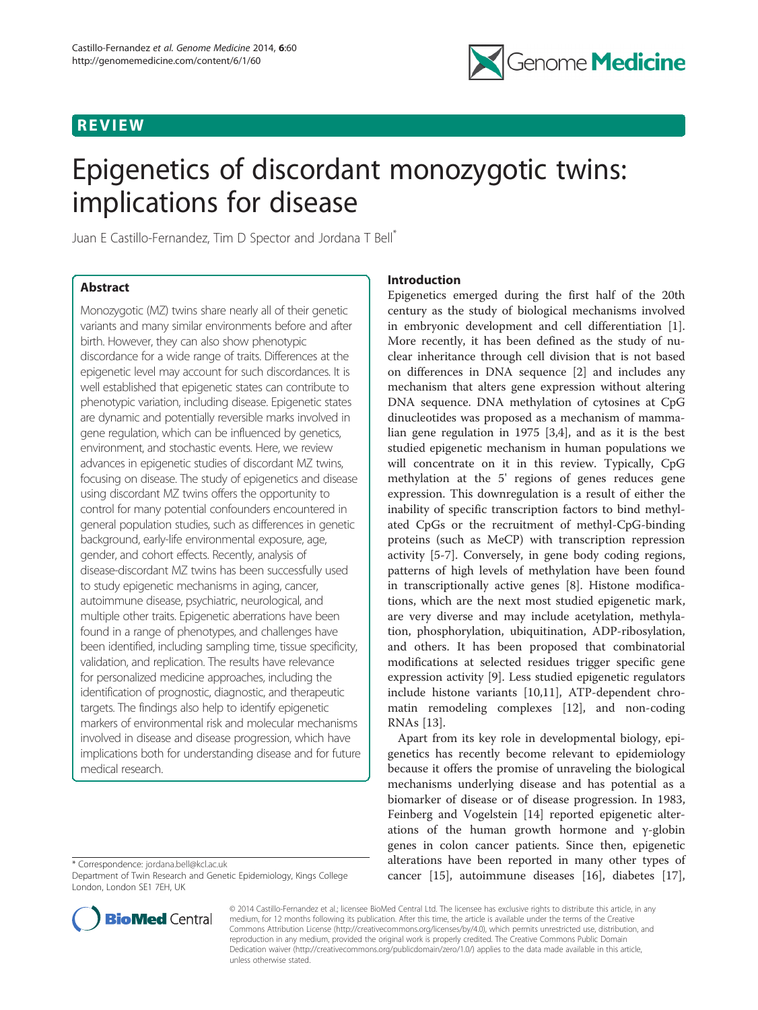## REVIEW



# Epigenetics of discordant monozygotic twins: implications for disease

Juan E Castillo-Fernandez, Tim D Spector and Jordana T Bell\*

## Abstract

Monozygotic (MZ) twins share nearly all of their genetic variants and many similar environments before and after birth. However, they can also show phenotypic discordance for a wide range of traits. Differences at the epigenetic level may account for such discordances. It is well established that epigenetic states can contribute to phenotypic variation, including disease. Epigenetic states are dynamic and potentially reversible marks involved in gene regulation, which can be influenced by genetics, environment, and stochastic events. Here, we review advances in epigenetic studies of discordant MZ twins, focusing on disease. The study of epigenetics and disease using discordant MZ twins offers the opportunity to control for many potential confounders encountered in general population studies, such as differences in genetic background, early-life environmental exposure, age, gender, and cohort effects. Recently, analysis of disease-discordant MZ twins has been successfully used to study epigenetic mechanisms in aging, cancer, autoimmune disease, psychiatric, neurological, and multiple other traits. Epigenetic aberrations have been found in a range of phenotypes, and challenges have been identified, including sampling time, tissue specificity, validation, and replication. The results have relevance for personalized medicine approaches, including the identification of prognostic, diagnostic, and therapeutic targets. The findings also help to identify epigenetic markers of environmental risk and molecular mechanisms involved in disease and disease progression, which have implications both for understanding disease and for future medical research.

Department of Twin Research and Genetic Epidemiology, Kings College London, London SE1 7EH, UK



Epigenetics emerged during the first half of the 20th century as the study of biological mechanisms involved in embryonic development and cell differentiation [\[1](#page-12-0)]. More recently, it has been defined as the study of nuclear inheritance through cell division that is not based on differences in DNA sequence [\[2](#page-12-0)] and includes any mechanism that alters gene expression without altering DNA sequence. DNA methylation of cytosines at CpG dinucleotides was proposed as a mechanism of mammalian gene regulation in 1975 [[3](#page-12-0),[4\]](#page-12-0), and as it is the best studied epigenetic mechanism in human populations we will concentrate on it in this review. Typically, CpG methylation at the 5' regions of genes reduces gene expression. This downregulation is a result of either the inability of specific transcription factors to bind methylated CpGs or the recruitment of methyl-CpG-binding proteins (such as MeCP) with transcription repression activity [\[5](#page-12-0)-[7\]](#page-13-0). Conversely, in gene body coding regions, patterns of high levels of methylation have been found in transcriptionally active genes [[8\]](#page-13-0). Histone modifications, which are the next most studied epigenetic mark, are very diverse and may include acetylation, methylation, phosphorylation, ubiquitination, ADP-ribosylation, and others. It has been proposed that combinatorial modifications at selected residues trigger specific gene expression activity [[9](#page-13-0)]. Less studied epigenetic regulators include histone variants [[10](#page-13-0),[11](#page-13-0)], ATP-dependent chromatin remodeling complexes [\[12\]](#page-13-0), and non-coding RNAs [\[13\]](#page-13-0).

Apart from its key role in developmental biology, epigenetics has recently become relevant to epidemiology because it offers the promise of unraveling the biological mechanisms underlying disease and has potential as a biomarker of disease or of disease progression. In 1983, Feinberg and Vogelstein [[14](#page-13-0)] reported epigenetic alterations of the human growth hormone and γ-globin genes in colon cancer patients. Since then, epigenetic alterations have been reported in many other types of cancer [\[15](#page-13-0)], autoimmune diseases [[16](#page-13-0)], diabetes [\[17](#page-13-0)],



© 2014 Castillo-Fernandez et al.; licensee BioMed Central Ltd. The licensee has exclusive rights to distribute this article, in any medium, for 12 months following its publication. After this time, the article is available under the terms of the Creative Commons Attribution License [\(http://creativecommons.org/licenses/by/4.0\)](http://creativecommons.org/licenses/by/4.0), which permits unrestricted use, distribution, and reproduction in any medium, provided the original work is properly credited. The Creative Commons Public Domain Dedication waiver [\(http://creativecommons.org/publicdomain/zero/1.0/](http://creativecommons.org/publicdomain/zero/1.0/)) applies to the data made available in this article, unless otherwise stated.

<sup>\*</sup> Correspondence: [jordana.bell@kcl.ac.uk](mailto:jordana.bell@kcl.ac.uk)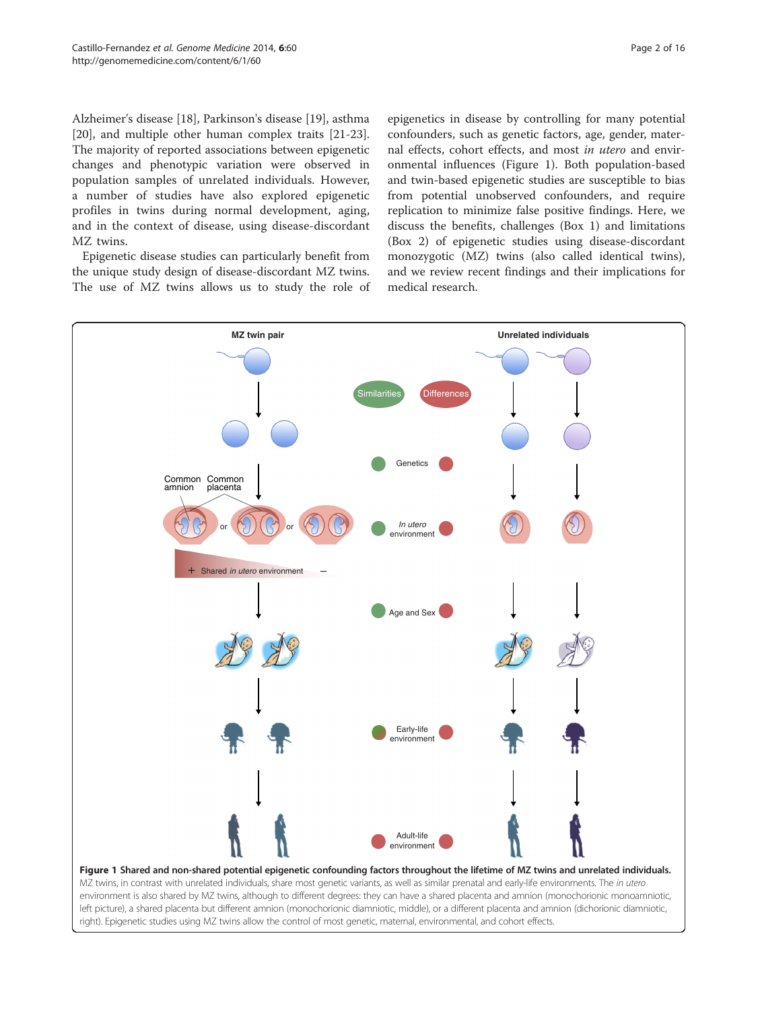<span id="page-1-0"></span>Alzheimer's disease [[18\]](#page-13-0), Parkinson's disease [\[19](#page-13-0)], asthma [[20\]](#page-13-0), and multiple other human complex traits [\[21-23](#page-13-0)]. The majority of reported associations between epigenetic changes and phenotypic variation were observed in population samples of unrelated individuals. However, a number of studies have also explored epigenetic profiles in twins during normal development, aging, and in the context of disease, using disease-discordant MZ twins.

Epigenetic disease studies can particularly benefit from the unique study design of disease-discordant MZ twins. The use of MZ twins allows us to study the role of epigenetics in disease by controlling for many potential confounders, such as genetic factors, age, gender, maternal effects, cohort effects, and most in utero and environmental influences (Figure 1). Both population-based and twin-based epigenetic studies are susceptible to bias from potential unobserved confounders, and require replication to minimize false positive findings. Here, we discuss the benefits, challenges [\(Box 1](#page-2-0)) and limitations ([Box 2\)](#page-3-0) of epigenetic studies using disease-discordant monozygotic (MZ) twins (also called identical twins), and we review recent findings and their implications for medical research.



left picture), a shared placenta but different amnion (monochorionic diamniotic, middle), or a different placenta and amnion (dichorionic diamniotic, right). Epigenetic studies using MZ twins allow the control of most genetic, maternal, environmental, and cohort effects.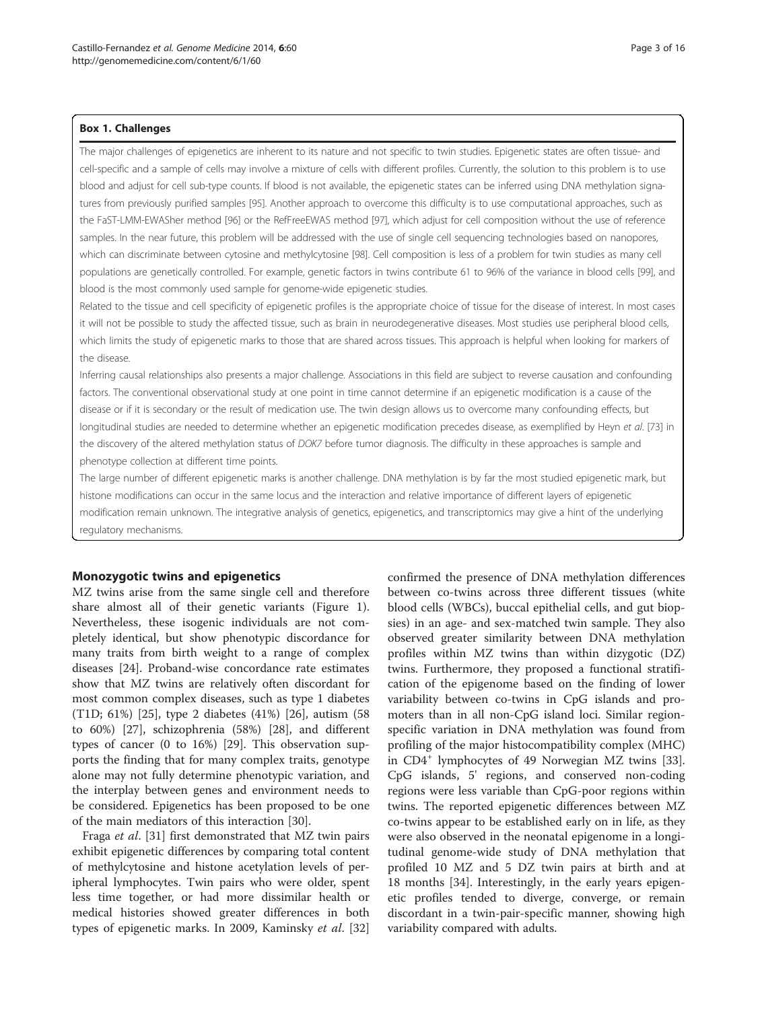<span id="page-2-0"></span>The major challenges of epigenetics are inherent to its nature and not specific to twin studies. Epigenetic states are often tissue- and cell-specific and a sample of cells may involve a mixture of cells with different profiles. Currently, the solution to this problem is to use blood and adjust for cell sub-type counts. If blood is not available, the epigenetic states can be inferred using DNA methylation signatures from previously purified samples [[95](#page-15-0)]. Another approach to overcome this difficulty is to use computational approaches, such as the FaST-LMM-EWASher method [[96](#page-15-0)] or the RefFreeEWAS method [\[97](#page-15-0)], which adjust for cell composition without the use of reference samples. In the near future, this problem will be addressed with the use of single cell sequencing technologies based on nanopores, which can discriminate between cytosine and methylcytosine [[98](#page-15-0)]. Cell composition is less of a problem for twin studies as many cell populations are genetically controlled. For example, genetic factors in twins contribute 61 to 96% of the variance in blood cells [\[99](#page-15-0)], and blood is the most commonly used sample for genome-wide epigenetic studies.

Related to the tissue and cell specificity of epigenetic profiles is the appropriate choice of tissue for the disease of interest. In most cases it will not be possible to study the affected tissue, such as brain in neurodegenerative diseases. Most studies use peripheral blood cells, which limits the study of epigenetic marks to those that are shared across tissues. This approach is helpful when looking for markers of the disease.

Inferring causal relationships also presents a major challenge. Associations in this field are subject to reverse causation and confounding factors. The conventional observational study at one point in time cannot determine if an epigenetic modification is a cause of the disease or if it is secondary or the result of medication use. The twin design allows us to overcome many confounding effects, but longitudinal studies are needed to determine whether an epigenetic modification precedes disease, as exemplified by Heyn et al. [[73](#page-14-0)] in the discovery of the altered methylation status of DOK7 before tumor diagnosis. The difficulty in these approaches is sample and phenotype collection at different time points.

The large number of different epigenetic marks is another challenge. DNA methylation is by far the most studied epigenetic mark, but histone modifications can occur in the same locus and the interaction and relative importance of different layers of epigenetic modification remain unknown. The integrative analysis of genetics, epigenetics, and transcriptomics may give a hint of the underlying regulatory mechanisms.

#### Monozygotic twins and epigenetics

MZ twins arise from the same single cell and therefore share almost all of their genetic variants (Figure [1](#page-1-0)). Nevertheless, these isogenic individuals are not completely identical, but show phenotypic discordance for many traits from birth weight to a range of complex diseases [[24](#page-13-0)]. Proband-wise concordance rate estimates show that MZ twins are relatively often discordant for most common complex diseases, such as type 1 diabetes (T1D; 61%) [\[25](#page-13-0)], type 2 diabetes (41%) [\[26](#page-13-0)], autism (58 to 60%) [\[27](#page-13-0)], schizophrenia (58%) [\[28](#page-13-0)], and different types of cancer (0 to 16%) [\[29](#page-13-0)]. This observation supports the finding that for many complex traits, genotype alone may not fully determine phenotypic variation, and the interplay between genes and environment needs to be considered. Epigenetics has been proposed to be one of the main mediators of this interaction [\[30](#page-13-0)].

Fraga et al. [\[31](#page-13-0)] first demonstrated that MZ twin pairs exhibit epigenetic differences by comparing total content of methylcytosine and histone acetylation levels of peripheral lymphocytes. Twin pairs who were older, spent less time together, or had more dissimilar health or medical histories showed greater differences in both types of epigenetic marks. In 2009, Kaminsky et al. [[32](#page-13-0)]

confirmed the presence of DNA methylation differences between co-twins across three different tissues (white blood cells (WBCs), buccal epithelial cells, and gut biopsies) in an age- and sex-matched twin sample. They also observed greater similarity between DNA methylation profiles within MZ twins than within dizygotic (DZ) twins. Furthermore, they proposed a functional stratification of the epigenome based on the finding of lower variability between co-twins in CpG islands and promoters than in all non-CpG island loci. Similar regionspecific variation in DNA methylation was found from profiling of the major histocompatibility complex (MHC) in CD4<sup>+</sup> lymphocytes of 49 Norwegian MZ twins [\[33](#page-13-0)]. CpG islands, 5' regions, and conserved non-coding regions were less variable than CpG-poor regions within twins. The reported epigenetic differences between MZ co-twins appear to be established early on in life, as they were also observed in the neonatal epigenome in a longitudinal genome-wide study of DNA methylation that profiled 10 MZ and 5 DZ twin pairs at birth and at 18 months [\[34](#page-13-0)]. Interestingly, in the early years epigenetic profiles tended to diverge, converge, or remain discordant in a twin-pair-specific manner, showing high variability compared with adults.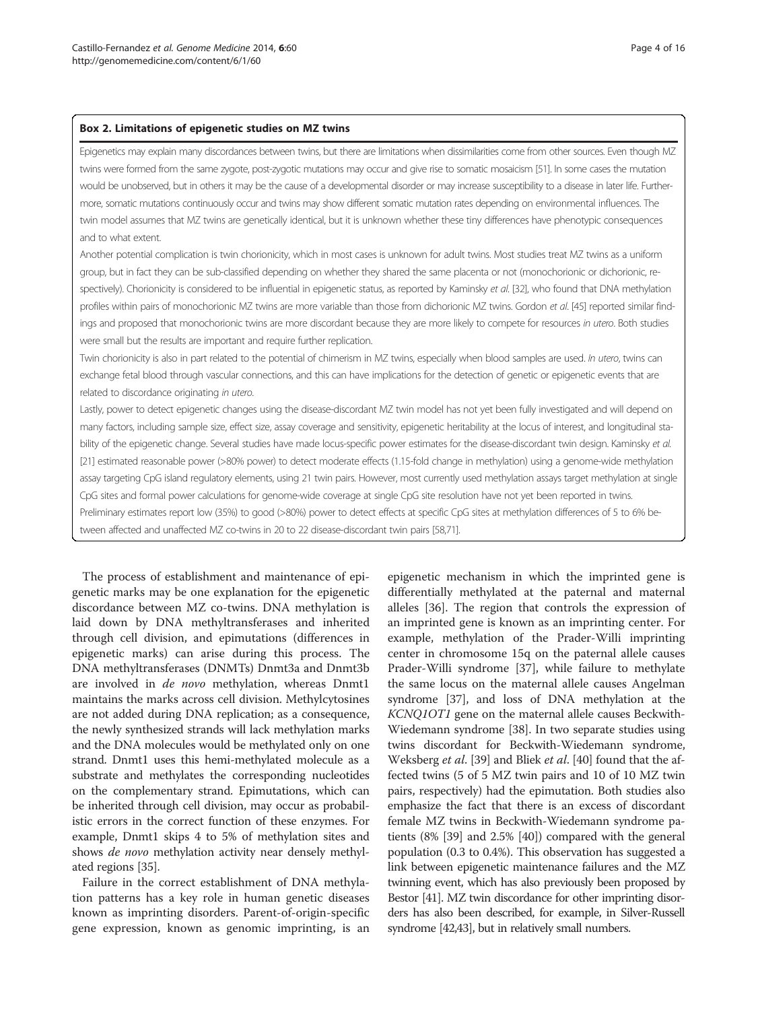#### <span id="page-3-0"></span>Box 2. Limitations of epigenetic studies on MZ twins

Epigenetics may explain many discordances between twins, but there are limitations when dissimilarities come from other sources. Even though MZ twins were formed from the same zygote, post-zygotic mutations may occur and give rise to somatic mosaicism [\[51](#page-14-0)]. In some cases the mutation would be unobserved, but in others it may be the cause of a developmental disorder or may increase susceptibility to a disease in later life. Furthermore, somatic mutations continuously occur and twins may show different somatic mutation rates depending on environmental influences. The twin model assumes that MZ twins are genetically identical, but it is unknown whether these tiny differences have phenotypic consequences and to what extent.

Another potential complication is twin chorionicity, which in most cases is unknown for adult twins. Most studies treat MZ twins as a uniform group, but in fact they can be sub-classified depending on whether they shared the same placenta or not (monochorionic or dichorionic, re-spectively). Chorionicity is considered to be influential in epigenetic status, as reported by Kaminsky et al. [[32](#page-13-0)], who found that DNA methylation profiles within pairs of monochorionic MZ twins are more variable than those from dichorionic MZ twins. Gordon et al. [\[45\]](#page-13-0) reported similar findings and proposed that monochorionic twins are more discordant because they are more likely to compete for resources in utero. Both studies were small but the results are important and require further replication.

Twin chorionicity is also in part related to the potential of chimerism in MZ twins, especially when blood samples are used. In utero, twins can exchange fetal blood through vascular connections, and this can have implications for the detection of genetic or epigenetic events that are related to discordance originating in utero.

Lastly, power to detect epigenetic changes using the disease-discordant MZ twin model has not yet been fully investigated and will depend on many factors, including sample size, effect size, assay coverage and sensitivity, epigenetic heritability at the locus of interest, and longitudinal stability of the epigenetic change. Several studies have made locus-specific power estimates for the disease-discordant twin design. Kaminsky et al. [[21](#page-13-0)] estimated reasonable power (>80% power) to detect moderate effects (1.15-fold change in methylation) using a genome-wide methylation assay targeting CpG island regulatory elements, using 21 twin pairs. However, most currently used methylation assays target methylation at single CpG sites and formal power calculations for genome-wide coverage at single CpG site resolution have not yet been reported in twins. Preliminary estimates report low (35%) to good (>80%) power to detect effects at specific CpG sites at methylation differences of 5 to 6% between affected and unaffected MZ co-twins in 20 to 22 disease-discordant twin pairs [[58](#page-14-0),[71](#page-14-0)].

The process of establishment and maintenance of epigenetic marks may be one explanation for the epigenetic discordance between MZ co-twins. DNA methylation is laid down by DNA methyltransferases and inherited through cell division, and epimutations (differences in epigenetic marks) can arise during this process. The DNA methyltransferases (DNMTs) Dnmt3a and Dnmt3b are involved in de novo methylation, whereas Dnmt1 maintains the marks across cell division. Methylcytosines are not added during DNA replication; as a consequence, the newly synthesized strands will lack methylation marks and the DNA molecules would be methylated only on one strand. Dnmt1 uses this hemi-methylated molecule as a substrate and methylates the corresponding nucleotides on the complementary strand. Epimutations, which can be inherited through cell division, may occur as probabilistic errors in the correct function of these enzymes. For example, Dnmt1 skips 4 to 5% of methylation sites and shows de novo methylation activity near densely methylated regions [[35\]](#page-13-0).

Failure in the correct establishment of DNA methylation patterns has a key role in human genetic diseases known as imprinting disorders. Parent-of-origin-specific gene expression, known as genomic imprinting, is an

epigenetic mechanism in which the imprinted gene is differentially methylated at the paternal and maternal alleles [[36\]](#page-13-0). The region that controls the expression of an imprinted gene is known as an imprinting center. For example, methylation of the Prader-Willi imprinting center in chromosome 15q on the paternal allele causes Prader-Willi syndrome [\[37](#page-13-0)], while failure to methylate the same locus on the maternal allele causes Angelman syndrome [[37](#page-13-0)], and loss of DNA methylation at the KCNQ1OT1 gene on the maternal allele causes Beckwith-Wiedemann syndrome [[38](#page-13-0)]. In two separate studies using twins discordant for Beckwith-Wiedemann syndrome, Weksberg *et al.* [[39\]](#page-13-0) and Bliek *et al.* [\[40\]](#page-13-0) found that the affected twins (5 of 5 MZ twin pairs and 10 of 10 MZ twin pairs, respectively) had the epimutation. Both studies also emphasize the fact that there is an excess of discordant female MZ twins in Beckwith-Wiedemann syndrome patients (8% [\[39\]](#page-13-0) and 2.5% [\[40](#page-13-0)]) compared with the general population (0.3 to 0.4%). This observation has suggested a link between epigenetic maintenance failures and the MZ twinning event, which has also previously been proposed by Bestor [[41\]](#page-13-0). MZ twin discordance for other imprinting disorders has also been described, for example, in Silver-Russell syndrome [\[42,43](#page-13-0)], but in relatively small numbers.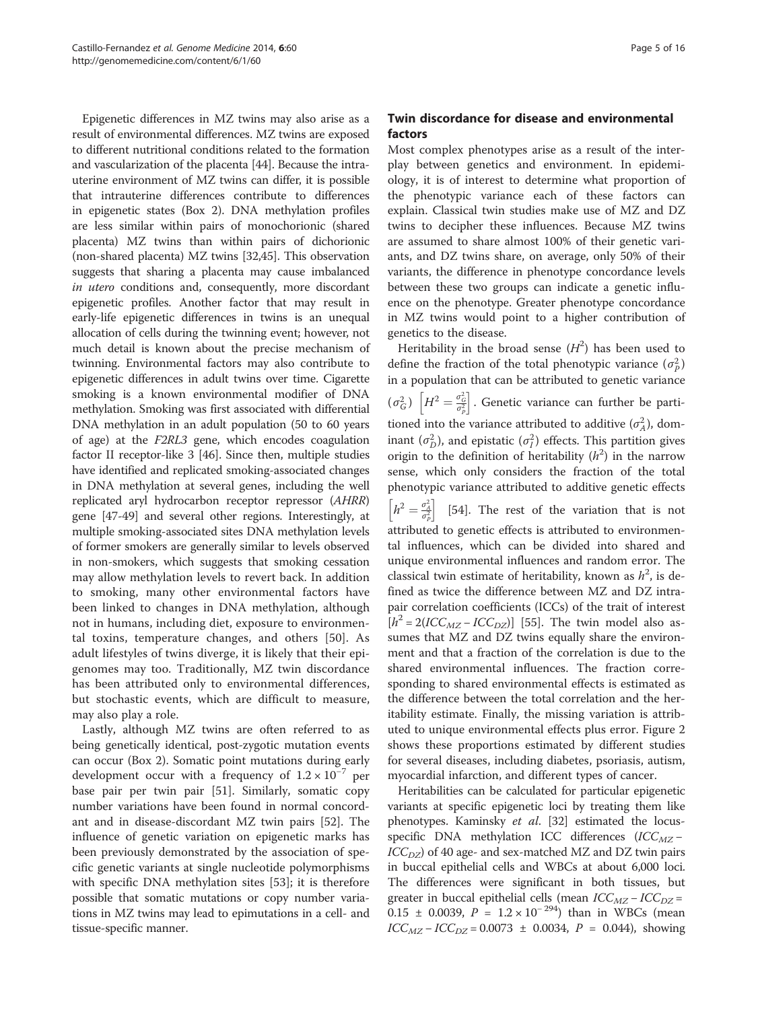Epigenetic differences in MZ twins may also arise as a result of environmental differences. MZ twins are exposed to different nutritional conditions related to the formation and vascularization of the placenta [[44\]](#page-13-0). Because the intrauterine environment of MZ twins can differ, it is possible that intrauterine differences contribute to differences in epigenetic states ([Box 2](#page-3-0)). DNA methylation profiles are less similar within pairs of monochorionic (shared placenta) MZ twins than within pairs of dichorionic (non-shared placenta) MZ twins [\[32,45\]](#page-13-0). This observation suggests that sharing a placenta may cause imbalanced in utero conditions and, consequently, more discordant epigenetic profiles. Another factor that may result in early-life epigenetic differences in twins is an unequal allocation of cells during the twinning event; however, not much detail is known about the precise mechanism of twinning. Environmental factors may also contribute to epigenetic differences in adult twins over time. Cigarette smoking is a known environmental modifier of DNA methylation. Smoking was first associated with differential DNA methylation in an adult population (50 to 60 years of age) at the F2RL3 gene, which encodes coagulation factor II receptor-like 3 [\[46\]](#page-13-0). Since then, multiple studies have identified and replicated smoking-associated changes in DNA methylation at several genes, including the well replicated aryl hydrocarbon receptor repressor (AHRR) gene [\[47-](#page-13-0)[49\]](#page-14-0) and several other regions. Interestingly, at multiple smoking-associated sites DNA methylation levels of former smokers are generally similar to levels observed in non-smokers, which suggests that smoking cessation may allow methylation levels to revert back. In addition to smoking, many other environmental factors have been linked to changes in DNA methylation, although not in humans, including diet, exposure to environmental toxins, temperature changes, and others [[50\]](#page-14-0). As adult lifestyles of twins diverge, it is likely that their epigenomes may too. Traditionally, MZ twin discordance has been attributed only to environmental differences, but stochastic events, which are difficult to measure, may also play a role.

Lastly, although MZ twins are often referred to as being genetically identical, post-zygotic mutation events can occur [\(Box 2](#page-3-0)). Somatic point mutations during early development occur with a frequency of  $1.2 \times 10^{-7}$  per base pair per twin pair [\[51](#page-14-0)]. Similarly, somatic copy number variations have been found in normal concordant and in disease-discordant MZ twin pairs [[52\]](#page-14-0). The influence of genetic variation on epigenetic marks has been previously demonstrated by the association of specific genetic variants at single nucleotide polymorphisms with specific DNA methylation sites [[53\]](#page-14-0); it is therefore possible that somatic mutations or copy number variations in MZ twins may lead to epimutations in a cell- and tissue-specific manner.

## Twin discordance for disease and environmental factors

Most complex phenotypes arise as a result of the interplay between genetics and environment. In epidemiology, it is of interest to determine what proportion of the phenotypic variance each of these factors can explain. Classical twin studies make use of MZ and DZ twins to decipher these influences. Because MZ twins are assumed to share almost 100% of their genetic variants, and DZ twins share, on average, only 50% of their variants, the difference in phenotype concordance levels between these two groups can indicate a genetic influence on the phenotype. Greater phenotype concordance in MZ twins would point to a higher contribution of genetics to the disease.

Heritability in the broad sense  $(H^2)$  has been used to define the fraction of the total phenotypic variance  $(\sigma_P^2)$ in a population that can be attributed to genetic variance  $(\sigma_G^2)$   $\left[H^2 = \frac{\sigma_G^2}{\sigma_p^2}\right]$ . Genetic variance can further be partitioned into the variance attributed to additive  $(\sigma_A^2)$ , dominant ( $\sigma_D^2$ ), and epistatic ( $\sigma_I^2$ ) effects. This partition gives origin to the definition of heritability  $(h^2)$  in the narrow sense, which only considers the fraction of the total phenotypic variance attributed to additive genetic effects  $\left[h^2 = \frac{\sigma_A^2}{\sigma_p^2}\right]$  [\[54\]](#page-14-0). The rest of the variation that is not attributed to genetic effects is attributed to environmental influences, which can be divided into shared and unique environmental influences and random error. The classical twin estimate of heritability, known as  $h^2$ , is defined as twice the difference between MZ and DZ intrapair correlation coefficients (ICCs) of the trait of interest  $[h^2 = 2(ICC_{MZ} - ICC_{DZ})]$  [\[55](#page-14-0)]. The twin model also assumes that MZ and DZ twins equally share the environment and that a fraction of the correlation is due to the shared environmental influences. The fraction corresponding to shared environmental effects is estimated as the difference between the total correlation and the heritability estimate. Finally, the missing variation is attributed to unique environmental effects plus error. Figure [2](#page-5-0) shows these proportions estimated by different studies for several diseases, including diabetes, psoriasis, autism, myocardial infarction, and different types of cancer.

Heritabilities can be calculated for particular epigenetic variants at specific epigenetic loci by treating them like phenotypes. Kaminsky et al. [[32\]](#page-13-0) estimated the locusspecific DNA methylation ICC differences (ICC<sub>MZ</sub> - $ICC<sub>DZ</sub>$ ) of 40 age- and sex-matched MZ and DZ twin pairs in buccal epithelial cells and WBCs at about 6,000 loci. The differences were significant in both tissues, but greater in buccal epithelial cells (mean  $ICC_{MZ} - ICC_{DZ} =$ 0.15 ± 0.0039,  $P = 1.2 \times 10^{-294}$  than in WBCs (mean  $ICC_{MZ} - ICC_{DZ} = 0.0073 \pm 0.0034$ ,  $P = 0.044$ ), showing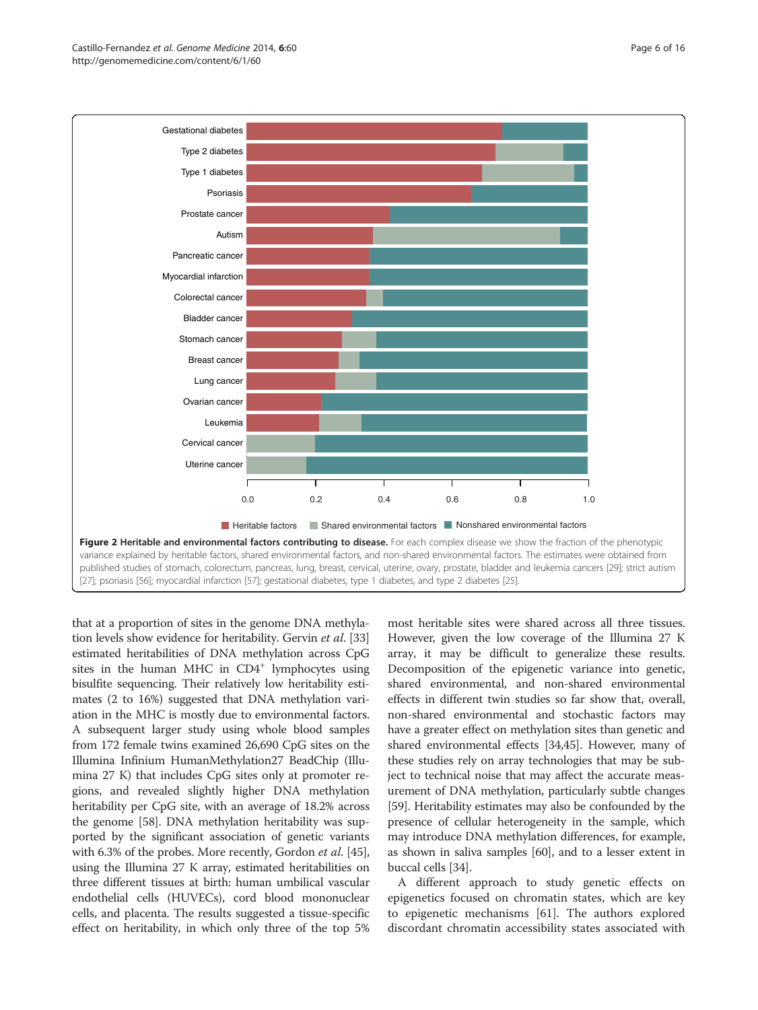<span id="page-5-0"></span>

published studies of stomach, colorectum, pancreas, lung, breast, cervical, uterine, ovary, prostate, bladder and leukemia cancers [[29](#page-13-0)]; strict autism [[27](#page-13-0)]; psoriasis [\[56\]](#page-14-0); myocardial infarction [\[57\]](#page-14-0); gestational diabetes, type 1 diabetes, and type 2 diabetes [\[25\]](#page-13-0).

that at a proportion of sites in the genome DNA methylation levels show evidence for heritability. Gervin et al. [[33](#page-13-0)] estimated heritabilities of DNA methylation across CpG sites in the human MHC in  $CD4^+$  lymphocytes using bisulfite sequencing. Their relatively low heritability estimates (2 to 16%) suggested that DNA methylation variation in the MHC is mostly due to environmental factors. A subsequent larger study using whole blood samples from 172 female twins examined 26,690 CpG sites on the Illumina Infinium HumanMethylation27 BeadChip (Illumina 27 K) that includes CpG sites only at promoter regions, and revealed slightly higher DNA methylation heritability per CpG site, with an average of 18.2% across the genome [[58\]](#page-14-0). DNA methylation heritability was supported by the significant association of genetic variants with 6.3% of the probes. More recently, Gordon et al. [[45](#page-13-0)], using the Illumina 27 K array, estimated heritabilities on three different tissues at birth: human umbilical vascular endothelial cells (HUVECs), cord blood mononuclear cells, and placenta. The results suggested a tissue-specific effect on heritability, in which only three of the top 5%

most heritable sites were shared across all three tissues. However, given the low coverage of the Illumina 27 K array, it may be difficult to generalize these results. Decomposition of the epigenetic variance into genetic, shared environmental, and non-shared environmental effects in different twin studies so far show that, overall, non-shared environmental and stochastic factors may have a greater effect on methylation sites than genetic and shared environmental effects [\[34,45\]](#page-13-0). However, many of these studies rely on array technologies that may be subject to technical noise that may affect the accurate measurement of DNA methylation, particularly subtle changes [[59](#page-14-0)]. Heritability estimates may also be confounded by the presence of cellular heterogeneity in the sample, which may introduce DNA methylation differences, for example, as shown in saliva samples [[60](#page-14-0)], and to a lesser extent in buccal cells [\[34\]](#page-13-0).

A different approach to study genetic effects on epigenetics focused on chromatin states, which are key to epigenetic mechanisms [[61](#page-14-0)]. The authors explored discordant chromatin accessibility states associated with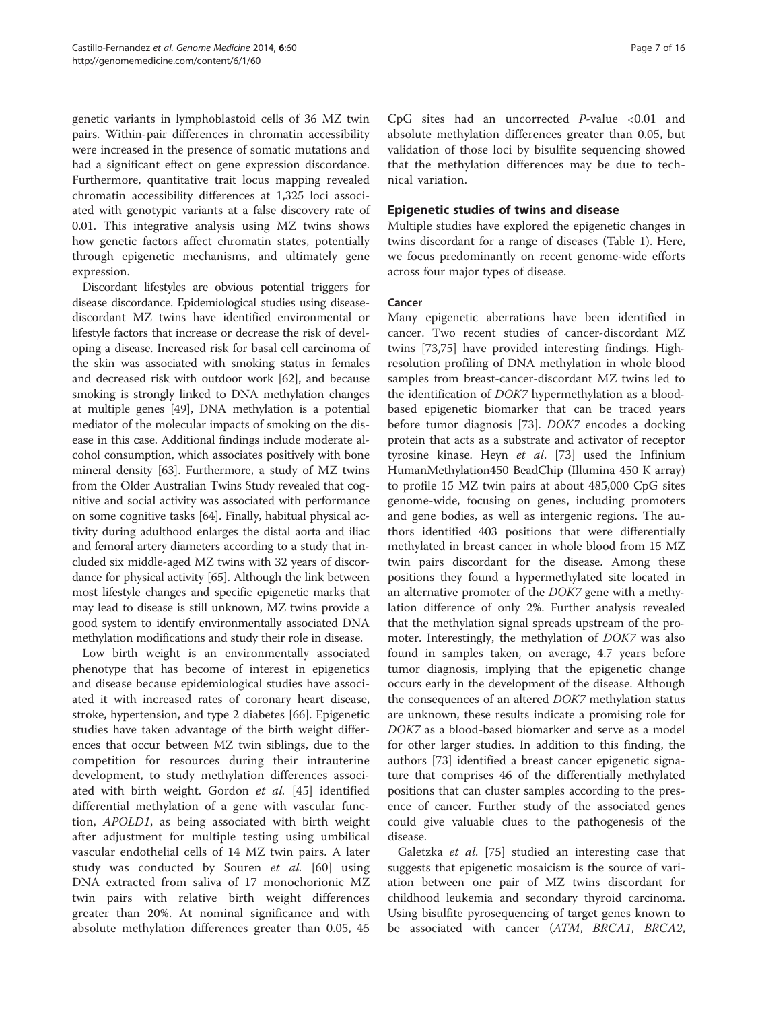genetic variants in lymphoblastoid cells of 36 MZ twin pairs. Within-pair differences in chromatin accessibility were increased in the presence of somatic mutations and had a significant effect on gene expression discordance. Furthermore, quantitative trait locus mapping revealed chromatin accessibility differences at 1,325 loci associated with genotypic variants at a false discovery rate of 0.01. This integrative analysis using MZ twins shows how genetic factors affect chromatin states, potentially through epigenetic mechanisms, and ultimately gene expression.

Discordant lifestyles are obvious potential triggers for disease discordance. Epidemiological studies using diseasediscordant MZ twins have identified environmental or lifestyle factors that increase or decrease the risk of developing a disease. Increased risk for basal cell carcinoma of the skin was associated with smoking status in females and decreased risk with outdoor work [[62](#page-14-0)], and because smoking is strongly linked to DNA methylation changes at multiple genes [\[49\]](#page-14-0), DNA methylation is a potential mediator of the molecular impacts of smoking on the disease in this case. Additional findings include moderate alcohol consumption, which associates positively with bone mineral density [\[63\]](#page-14-0). Furthermore, a study of MZ twins from the Older Australian Twins Study revealed that cognitive and social activity was associated with performance on some cognitive tasks [\[64\]](#page-14-0). Finally, habitual physical activity during adulthood enlarges the distal aorta and iliac and femoral artery diameters according to a study that included six middle-aged MZ twins with 32 years of discordance for physical activity [\[65\]](#page-14-0). Although the link between most lifestyle changes and specific epigenetic marks that may lead to disease is still unknown, MZ twins provide a good system to identify environmentally associated DNA methylation modifications and study their role in disease.

Low birth weight is an environmentally associated phenotype that has become of interest in epigenetics and disease because epidemiological studies have associated it with increased rates of coronary heart disease, stroke, hypertension, and type 2 diabetes [\[66\]](#page-14-0). Epigenetic studies have taken advantage of the birth weight differences that occur between MZ twin siblings, due to the competition for resources during their intrauterine development, to study methylation differences associ-ated with birth weight. Gordon et al. [[45\]](#page-13-0) identified differential methylation of a gene with vascular function, APOLD1, as being associated with birth weight after adjustment for multiple testing using umbilical vascular endothelial cells of 14 MZ twin pairs. A later study was conducted by Souren et al. [[60](#page-14-0)] using DNA extracted from saliva of 17 monochorionic MZ twin pairs with relative birth weight differences greater than 20%. At nominal significance and with absolute methylation differences greater than 0.05, 45

CpG sites had an uncorrected P-value <0.01 and absolute methylation differences greater than 0.05, but validation of those loci by bisulfite sequencing showed that the methylation differences may be due to technical variation.

## Epigenetic studies of twins and disease

Multiple studies have explored the epigenetic changes in twins discordant for a range of diseases (Table [1](#page-7-0)). Here, we focus predominantly on recent genome-wide efforts across four major types of disease.

### Cancer

Many epigenetic aberrations have been identified in cancer. Two recent studies of cancer-discordant MZ twins [\[73,75](#page-14-0)] have provided interesting findings. Highresolution profiling of DNA methylation in whole blood samples from breast-cancer-discordant MZ twins led to the identification of DOK7 hypermethylation as a bloodbased epigenetic biomarker that can be traced years before tumor diagnosis [\[73\]](#page-14-0). DOK7 encodes a docking protein that acts as a substrate and activator of receptor tyrosine kinase. Heyn et al. [\[73](#page-14-0)] used the Infinium HumanMethylation450 BeadChip (Illumina 450 K array) to profile 15 MZ twin pairs at about 485,000 CpG sites genome-wide, focusing on genes, including promoters and gene bodies, as well as intergenic regions. The authors identified 403 positions that were differentially methylated in breast cancer in whole blood from 15 MZ twin pairs discordant for the disease. Among these positions they found a hypermethylated site located in an alternative promoter of the DOK7 gene with a methylation difference of only 2%. Further analysis revealed that the methylation signal spreads upstream of the promoter. Interestingly, the methylation of DOK7 was also found in samples taken, on average, 4.7 years before tumor diagnosis, implying that the epigenetic change occurs early in the development of the disease. Although the consequences of an altered DOK7 methylation status are unknown, these results indicate a promising role for DOK7 as a blood-based biomarker and serve as a model for other larger studies. In addition to this finding, the authors [[73](#page-14-0)] identified a breast cancer epigenetic signature that comprises 46 of the differentially methylated positions that can cluster samples according to the presence of cancer. Further study of the associated genes could give valuable clues to the pathogenesis of the disease.

Galetzka et al. [\[75\]](#page-14-0) studied an interesting case that suggests that epigenetic mosaicism is the source of variation between one pair of MZ twins discordant for childhood leukemia and secondary thyroid carcinoma. Using bisulfite pyrosequencing of target genes known to be associated with cancer (ATM, BRCA1, BRCA2,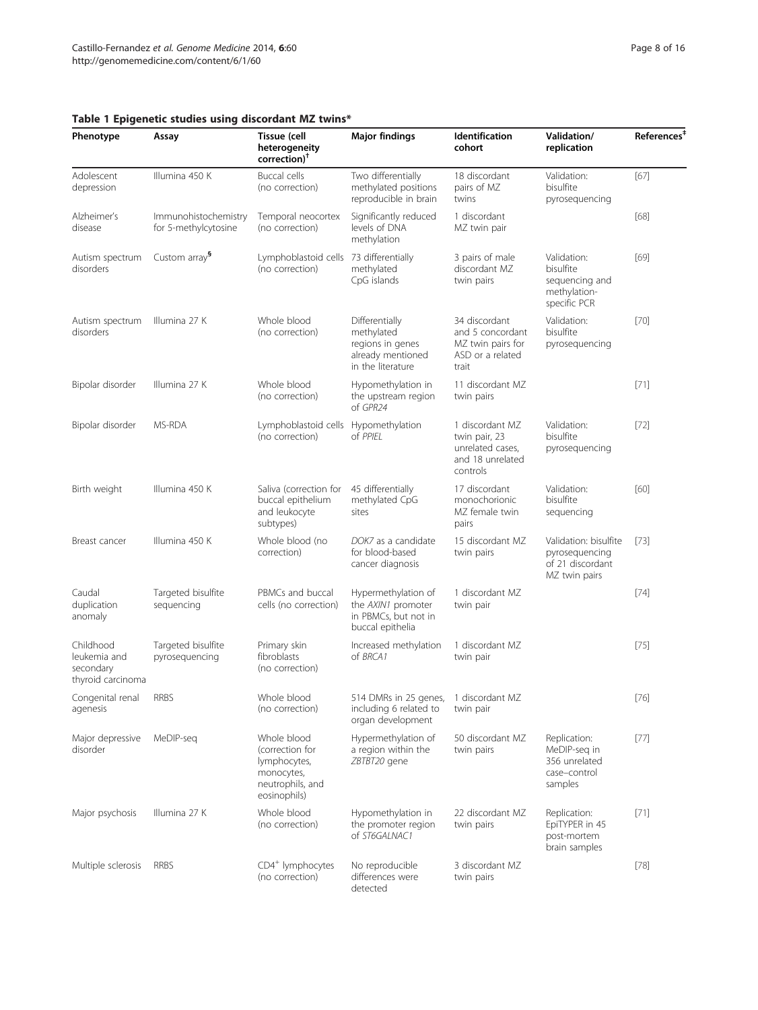<span id="page-7-0"></span>

|  |  |  |  |  | Table 1 Epigenetic studies using discordant MZ twins* |  |  |
|--|--|--|--|--|-------------------------------------------------------|--|--|
|--|--|--|--|--|-------------------------------------------------------|--|--|

| -<br>Phenotype                                              | Assay                                        | Tissue (cell<br>heterogeneity<br>correction) <sup>+</sup>                                        | <b>Major findings</b>                                                                      | Identification<br>cohort                                                             | Validation/<br>replication                                                   | References <sup>#</sup> |
|-------------------------------------------------------------|----------------------------------------------|--------------------------------------------------------------------------------------------------|--------------------------------------------------------------------------------------------|--------------------------------------------------------------------------------------|------------------------------------------------------------------------------|-------------------------|
| Adolescent<br>depression                                    | Illumina 450 K                               | <b>Buccal cells</b><br>(no correction)                                                           | Two differentially<br>methylated positions<br>reproducible in brain                        | 18 discordant<br>pairs of MZ<br>twins                                                | Validation:<br>bisulfite<br>pyrosequencing                                   | $[67]$                  |
| Alzheimer's<br>disease                                      | Immunohistochemistry<br>for 5-methylcytosine | Temporal neocortex<br>(no correction)                                                            | Significantly reduced<br>levels of DNA<br>methylation                                      | 1 discordant<br>MZ twin pair                                                         |                                                                              | [68]                    |
| Autism spectrum<br>disorders                                | Custom array <sup>§</sup>                    | Lymphoblastoid cells<br>(no correction)                                                          | 73 differentially<br>methylated<br>CpG islands                                             | 3 pairs of male<br>discordant MZ<br>twin pairs                                       | Validation:<br>bisulfite<br>sequencing and<br>methylation-<br>specific PCR   | $[69]$                  |
| Autism spectrum<br>disorders                                | Illumina 27 K                                | Whole blood<br>(no correction)                                                                   | Differentially<br>methylated<br>regions in genes<br>already mentioned<br>in the literature | 34 discordant<br>and 5 concordant<br>MZ twin pairs for<br>ASD or a related<br>trait  | Validation:<br>bisulfite<br>pyrosequencing                                   | $[70]$                  |
| Bipolar disorder                                            | Illumina 27 K                                | Whole blood<br>(no correction)                                                                   | Hypomethylation in<br>the upstream region<br>of GPR24                                      | 11 discordant MZ<br>twin pairs                                                       |                                                                              | $[71]$                  |
| Bipolar disorder                                            | MS-RDA                                       | Lymphoblastoid cells<br>(no correction)                                                          | Hypomethylation<br>of PPIFI                                                                | 1 discordant MZ<br>twin pair, 23<br>unrelated cases,<br>and 18 unrelated<br>controls | Validation:<br>bisulfite<br>pyrosequencing                                   | $[72]$                  |
| Birth weight                                                | Illumina 450 K                               | Saliva (correction for<br>buccal epithelium<br>and leukocyte<br>subtypes)                        | 45 differentially<br>methylated CpG<br>sites                                               | 17 discordant<br>monochorionic<br>MZ female twin<br>pairs                            | Validation:<br>bisulfite<br>sequencing                                       | [60]                    |
| Breast cancer                                               | Illumina 450 K                               | Whole blood (no<br>correction)                                                                   | DOK7 as a candidate<br>for blood-based<br>cancer diagnosis                                 | 15 discordant MZ<br>twin pairs                                                       | Validation: bisulfite<br>pyrosequencing<br>of 21 discordant<br>MZ twin pairs | $[73]$                  |
| Caudal<br>duplication<br>anomaly                            | Targeted bisulfite<br>sequencing             | PBMCs and buccal<br>cells (no correction)                                                        | Hypermethylation of<br>the AXIN1 promoter<br>in PBMCs, but not in<br>buccal epithelia      | 1 discordant MZ<br>twin pair                                                         |                                                                              | $[74]$                  |
| Childhood<br>leukemia and<br>secondary<br>thyroid carcinoma | Targeted bisulfite<br>pyrosequencing         | Primary skin<br>fibroblasts<br>(no correction)                                                   | Increased methylation<br>of BRCA1                                                          | 1 discordant MZ<br>twin pair                                                         |                                                                              | $[75]$                  |
| Congenital renal<br>agenesis                                | <b>RRBS</b>                                  | Whole blood<br>(no correction)                                                                   | 514 DMRs in 25 genes,<br>including 6 related to<br>organ development                       | 1 discordant MZ<br>twin pair                                                         |                                                                              | $[76]$                  |
| Major depressive<br>disorder                                | MeDIP-seq                                    | Whole blood<br>(correction for<br>lymphocytes,<br>monocytes,<br>neutrophils, and<br>eosinophils) | Hypermethylation of<br>a region within the<br>ZBTBT20 gene                                 | 50 discordant MZ<br>twin pairs                                                       | Replication:<br>MeDIP-seg in<br>356 unrelated<br>case-control<br>samples     | $[77]$                  |
| Major psychosis                                             | Illumina 27 K                                | Whole blood<br>(no correction)                                                                   | Hypomethylation in<br>the promoter region<br>of ST6GALNAC1                                 | 22 discordant MZ<br>twin pairs                                                       | Replication:<br>EpiTYPER in 45<br>post-mortem<br>brain samples               | $[71]$                  |
| Multiple sclerosis                                          | <b>RRBS</b>                                  | CD4 <sup>+</sup> lymphocytes<br>(no correction)                                                  | No reproducible<br>differences were<br>detected                                            | 3 discordant MZ<br>twin pairs                                                        |                                                                              | $[78]$                  |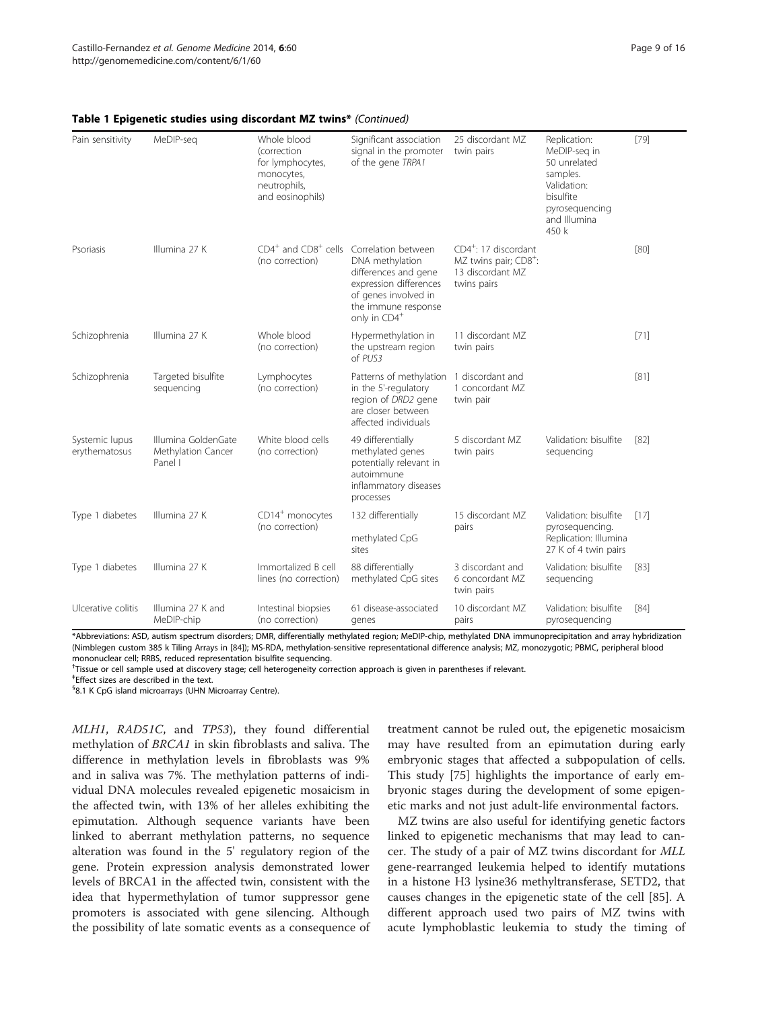| Pain sensitivity                | MeDIP-seg                                            | Whole blood<br><i>(correction)</i><br>for lymphocytes,<br>monocytes,<br>neutrophils,<br>and eosinophils) | Significant association<br>signal in the promoter<br>of the gene TRPA1                                                                                              | 25 discordant MZ<br>twin pairs                                                                           | Replication:<br>MeDIP-seg in<br>50 unrelated<br>samples.<br>Validation:<br>bisulfite<br>pyrosequencing<br>and Illumina<br>450 k | $[79]$ |
|---------------------------------|------------------------------------------------------|----------------------------------------------------------------------------------------------------------|---------------------------------------------------------------------------------------------------------------------------------------------------------------------|----------------------------------------------------------------------------------------------------------|---------------------------------------------------------------------------------------------------------------------------------|--------|
| Psoriasis                       | Illumina 27 K                                        | $CD4^+$ and $CD8^+$ cells<br>(no correction)                                                             | Correlation between<br>DNA methylation<br>differences and gene<br>expression differences<br>of genes involved in<br>the immune response<br>only in CD4 <sup>+</sup> | CD4 <sup>+</sup> : 17 discordant<br>MZ twins pair; CD8 <sup>+</sup> :<br>13 discordant MZ<br>twins pairs |                                                                                                                                 | [80]   |
| Schizophrenia                   | Illumina 27 K                                        | Whole blood<br>(no correction)                                                                           | Hypermethylation in<br>the upstream region<br>of PUS3                                                                                                               | 11 discordant MZ<br>twin pairs                                                                           |                                                                                                                                 | $[71]$ |
| Schizophrenia                   | Targeted bisulfite<br>sequencing                     | Lymphocytes<br>(no correction)                                                                           | Patterns of methylation<br>in the 5'-regulatory<br>region of DRD2 gene<br>are closer between<br>affected individuals                                                | 1 discordant and<br>1 concordant MZ<br>twin pair                                                         |                                                                                                                                 | $[81]$ |
| Systemic lupus<br>erythematosus | Illumina GoldenGate<br>Methylation Cancer<br>Panel I | White blood cells<br>(no correction)                                                                     | 49 differentially<br>methylated genes<br>potentially relevant in<br>autoimmune<br>inflammatory diseases<br>processes                                                | 5 discordant MZ<br>twin pairs                                                                            | Validation: bisulfite<br>sequencing                                                                                             | $[82]$ |
| Type 1 diabetes                 | Illumina 27 K                                        | CD14 <sup>+</sup> monocytes<br>(no correction)                                                           | 132 differentially<br>methylated CpG<br>sites                                                                                                                       | 15 discordant MZ<br>pairs                                                                                | Validation: bisulfite<br>pyrosequencing.<br>Replication: Illumina<br>27 K of 4 twin pairs                                       | $[17]$ |
| Type 1 diabetes                 | Illumina 27 K                                        | Immortalized B cell<br>lines (no correction)                                                             | 88 differentially<br>methylated CpG sites                                                                                                                           | 3 discordant and<br>6 concordant MZ<br>twin pairs                                                        | Validation: bisulfite<br>sequencing                                                                                             | $[83]$ |
| Ulcerative colitis              | Illumina 27 K and<br>MeDIP-chip                      | Intestinal biopsies<br>(no correction)                                                                   | 61 disease-associated<br>genes                                                                                                                                      | 10 discordant MZ<br>pairs                                                                                | Validation: bisulfite<br>pyrosequencing                                                                                         | $[84]$ |

#### Table 1 Epigenetic studies using discordant MZ twins\* (Continued)

\*Abbreviations: ASD, autism spectrum disorders; DMR, differentially methylated region; MeDIP-chip, methylated DNA immunoprecipitation and array hybridization (Nimblegen custom 385 k Tiling Arrays in [[84](#page-14-0)]); MS-RDA, methylation-sensitive representational difference analysis; MZ, monozygotic; PBMC, peripheral blood mononuclear cell; RRBS, reduced representation bisulfite sequencing.

† Tissue or cell sample used at discovery stage; cell heterogeneity correction approach is given in parentheses if relevant.

‡ Effect sizes are described in the text.

§ 8.1 K CpG island microarrays (UHN Microarray Centre).

MLH1, RAD51C, and TP53), they found differential methylation of BRCA1 in skin fibroblasts and saliva. The difference in methylation levels in fibroblasts was 9% and in saliva was 7%. The methylation patterns of individual DNA molecules revealed epigenetic mosaicism in the affected twin, with 13% of her alleles exhibiting the epimutation. Although sequence variants have been linked to aberrant methylation patterns, no sequence alteration was found in the 5' regulatory region of the gene. Protein expression analysis demonstrated lower levels of BRCA1 in the affected twin, consistent with the idea that hypermethylation of tumor suppressor gene promoters is associated with gene silencing. Although the possibility of late somatic events as a consequence of treatment cannot be ruled out, the epigenetic mosaicism may have resulted from an epimutation during early embryonic stages that affected a subpopulation of cells. This study [[75](#page-14-0)] highlights the importance of early embryonic stages during the development of some epigenetic marks and not just adult-life environmental factors.

MZ twins are also useful for identifying genetic factors linked to epigenetic mechanisms that may lead to cancer. The study of a pair of MZ twins discordant for MLL gene-rearranged leukemia helped to identify mutations in a histone H3 lysine36 methyltransferase, SETD2, that causes changes in the epigenetic state of the cell [\[85\]](#page-14-0). A different approach used two pairs of MZ twins with acute lymphoblastic leukemia to study the timing of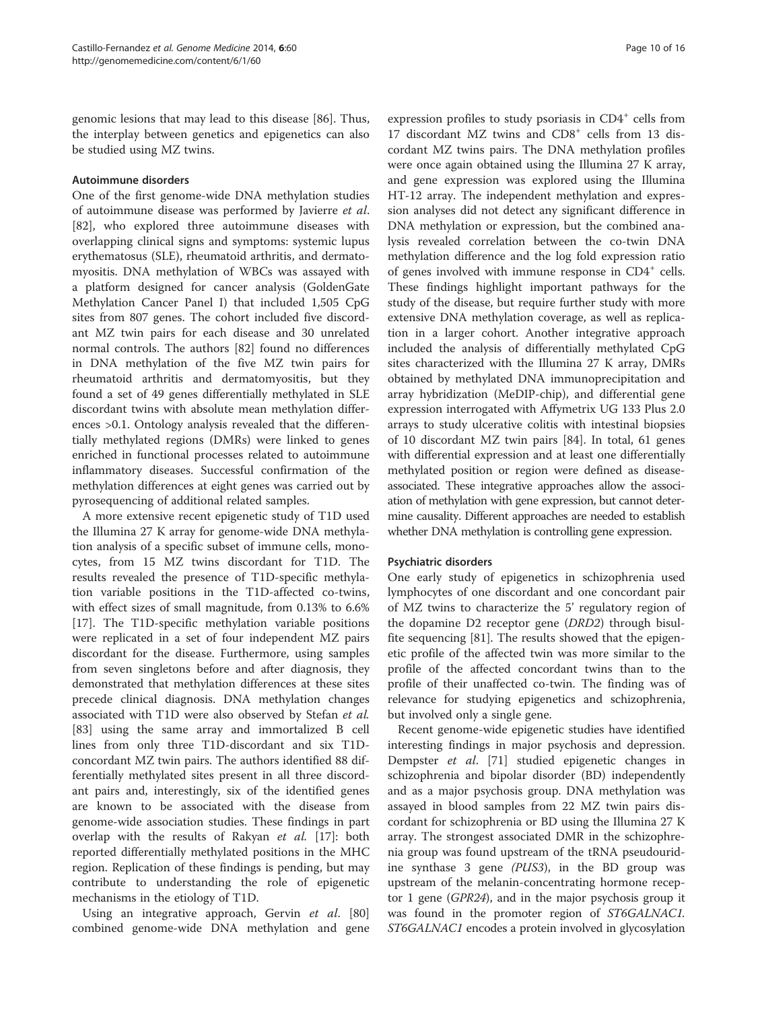genomic lesions that may lead to this disease [[86\]](#page-15-0). Thus, the interplay between genetics and epigenetics can also be studied using MZ twins.

## Autoimmune disorders

One of the first genome-wide DNA methylation studies of autoimmune disease was performed by Javierre et al. [[82\]](#page-14-0), who explored three autoimmune diseases with overlapping clinical signs and symptoms: systemic lupus erythematosus (SLE), rheumatoid arthritis, and dermatomyositis. DNA methylation of WBCs was assayed with a platform designed for cancer analysis (GoldenGate Methylation Cancer Panel I) that included 1,505 CpG sites from 807 genes. The cohort included five discordant MZ twin pairs for each disease and 30 unrelated normal controls. The authors [\[82](#page-14-0)] found no differences in DNA methylation of the five MZ twin pairs for rheumatoid arthritis and dermatomyositis, but they found a set of 49 genes differentially methylated in SLE discordant twins with absolute mean methylation differences >0.1. Ontology analysis revealed that the differentially methylated regions (DMRs) were linked to genes enriched in functional processes related to autoimmune inflammatory diseases. Successful confirmation of the methylation differences at eight genes was carried out by pyrosequencing of additional related samples.

A more extensive recent epigenetic study of T1D used the Illumina 27 K array for genome-wide DNA methylation analysis of a specific subset of immune cells, monocytes, from 15 MZ twins discordant for T1D. The results revealed the presence of T1D-specific methylation variable positions in the T1D-affected co-twins, with effect sizes of small magnitude, from 0.13% to 6.6% [[17\]](#page-13-0). The T1D-specific methylation variable positions were replicated in a set of four independent MZ pairs discordant for the disease. Furthermore, using samples from seven singletons before and after diagnosis, they demonstrated that methylation differences at these sites precede clinical diagnosis. DNA methylation changes associated with T1D were also observed by Stefan et al. [[83\]](#page-14-0) using the same array and immortalized B cell lines from only three T1D-discordant and six T1Dconcordant MZ twin pairs. The authors identified 88 differentially methylated sites present in all three discordant pairs and, interestingly, six of the identified genes are known to be associated with the disease from genome-wide association studies. These findings in part overlap with the results of Rakyan et al. [[17\]](#page-13-0): both reported differentially methylated positions in the MHC region. Replication of these findings is pending, but may contribute to understanding the role of epigenetic mechanisms in the etiology of T1D.

Using an integrative approach, Gervin et al. [[80](#page-14-0)] combined genome-wide DNA methylation and gene

expression profiles to study psoriasis in  $CD4^+$  cells from 17 discordant MZ twins and CD8<sup>+</sup> cells from 13 discordant MZ twins pairs. The DNA methylation profiles were once again obtained using the Illumina 27 K array, and gene expression was explored using the Illumina HT-12 array. The independent methylation and expression analyses did not detect any significant difference in DNA methylation or expression, but the combined analysis revealed correlation between the co-twin DNA methylation difference and the log fold expression ratio of genes involved with immune response in  $CD4^+$  cells. These findings highlight important pathways for the study of the disease, but require further study with more extensive DNA methylation coverage, as well as replication in a larger cohort. Another integrative approach included the analysis of differentially methylated CpG sites characterized with the Illumina 27 K array, DMRs obtained by methylated DNA immunoprecipitation and array hybridization (MeDIP-chip), and differential gene expression interrogated with Affymetrix UG 133 Plus 2.0 arrays to study ulcerative colitis with intestinal biopsies of 10 discordant MZ twin pairs [[84](#page-14-0)]. In total, 61 genes with differential expression and at least one differentially methylated position or region were defined as diseaseassociated. These integrative approaches allow the association of methylation with gene expression, but cannot determine causality. Different approaches are needed to establish whether DNA methylation is controlling gene expression.

## Psychiatric disorders

One early study of epigenetics in schizophrenia used lymphocytes of one discordant and one concordant pair of MZ twins to characterize the 5' regulatory region of the dopamine D2 receptor gene (DRD2) through bisulfite sequencing [[81](#page-14-0)]. The results showed that the epigenetic profile of the affected twin was more similar to the profile of the affected concordant twins than to the profile of their unaffected co-twin. The finding was of relevance for studying epigenetics and schizophrenia, but involved only a single gene.

Recent genome-wide epigenetic studies have identified interesting findings in major psychosis and depression. Dempster et al. [\[71](#page-14-0)] studied epigenetic changes in schizophrenia and bipolar disorder (BD) independently and as a major psychosis group. DNA methylation was assayed in blood samples from 22 MZ twin pairs discordant for schizophrenia or BD using the Illumina 27 K array. The strongest associated DMR in the schizophrenia group was found upstream of the tRNA pseudouridine synthase 3 gene (PUS3), in the BD group was upstream of the melanin-concentrating hormone receptor 1 gene (GPR24), and in the major psychosis group it was found in the promoter region of ST6GALNAC1. ST6GALNAC1 encodes a protein involved in glycosylation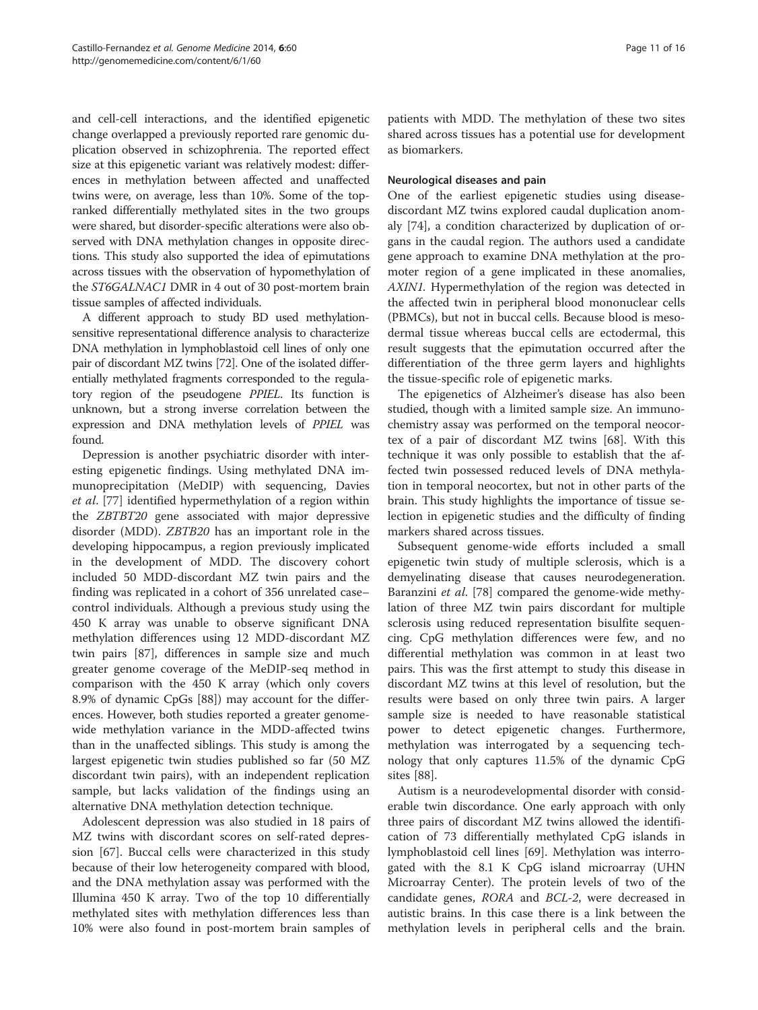and cell-cell interactions, and the identified epigenetic change overlapped a previously reported rare genomic duplication observed in schizophrenia. The reported effect size at this epigenetic variant was relatively modest: differences in methylation between affected and unaffected twins were, on average, less than 10%. Some of the topranked differentially methylated sites in the two groups were shared, but disorder-specific alterations were also observed with DNA methylation changes in opposite directions. This study also supported the idea of epimutations across tissues with the observation of hypomethylation of the ST6GALNAC1 DMR in 4 out of 30 post-mortem brain tissue samples of affected individuals.

A different approach to study BD used methylationsensitive representational difference analysis to characterize DNA methylation in lymphoblastoid cell lines of only one pair of discordant MZ twins [\[72\]](#page-14-0). One of the isolated differentially methylated fragments corresponded to the regulatory region of the pseudogene PPIEL. Its function is unknown, but a strong inverse correlation between the expression and DNA methylation levels of PPIEL was found.

Depression is another psychiatric disorder with interesting epigenetic findings. Using methylated DNA immunoprecipitation (MeDIP) with sequencing, Davies et al. [[77\]](#page-14-0) identified hypermethylation of a region within the ZBTBT20 gene associated with major depressive disorder (MDD). ZBTB20 has an important role in the developing hippocampus, a region previously implicated in the development of MDD. The discovery cohort included 50 MDD-discordant MZ twin pairs and the finding was replicated in a cohort of 356 unrelated case– control individuals. Although a previous study using the 450 K array was unable to observe significant DNA methylation differences using 12 MDD-discordant MZ twin pairs [[87](#page-15-0)], differences in sample size and much greater genome coverage of the MeDIP-seq method in comparison with the 450 K array (which only covers 8.9% of dynamic CpGs [\[88\]](#page-15-0)) may account for the differences. However, both studies reported a greater genomewide methylation variance in the MDD-affected twins than in the unaffected siblings. This study is among the largest epigenetic twin studies published so far (50 MZ discordant twin pairs), with an independent replication sample, but lacks validation of the findings using an alternative DNA methylation detection technique.

Adolescent depression was also studied in 18 pairs of MZ twins with discordant scores on self-rated depression [\[67\]](#page-14-0). Buccal cells were characterized in this study because of their low heterogeneity compared with blood, and the DNA methylation assay was performed with the Illumina 450 K array. Two of the top 10 differentially methylated sites with methylation differences less than 10% were also found in post-mortem brain samples of

patients with MDD. The methylation of these two sites shared across tissues has a potential use for development as biomarkers.

## Neurological diseases and pain

One of the earliest epigenetic studies using diseasediscordant MZ twins explored caudal duplication anomaly [\[74\]](#page-14-0), a condition characterized by duplication of organs in the caudal region. The authors used a candidate gene approach to examine DNA methylation at the promoter region of a gene implicated in these anomalies, AXIN1. Hypermethylation of the region was detected in the affected twin in peripheral blood mononuclear cells (PBMCs), but not in buccal cells. Because blood is mesodermal tissue whereas buccal cells are ectodermal, this result suggests that the epimutation occurred after the differentiation of the three germ layers and highlights the tissue-specific role of epigenetic marks.

The epigenetics of Alzheimer's disease has also been studied, though with a limited sample size. An immunochemistry assay was performed on the temporal neocortex of a pair of discordant MZ twins [\[68](#page-14-0)]. With this technique it was only possible to establish that the affected twin possessed reduced levels of DNA methylation in temporal neocortex, but not in other parts of the brain. This study highlights the importance of tissue selection in epigenetic studies and the difficulty of finding markers shared across tissues.

Subsequent genome-wide efforts included a small epigenetic twin study of multiple sclerosis, which is a demyelinating disease that causes neurodegeneration. Baranzini et al. [\[78](#page-14-0)] compared the genome-wide methylation of three MZ twin pairs discordant for multiple sclerosis using reduced representation bisulfite sequencing. CpG methylation differences were few, and no differential methylation was common in at least two pairs. This was the first attempt to study this disease in discordant MZ twins at this level of resolution, but the results were based on only three twin pairs. A larger sample size is needed to have reasonable statistical power to detect epigenetic changes. Furthermore, methylation was interrogated by a sequencing technology that only captures 11.5% of the dynamic CpG sites [[88](#page-15-0)].

Autism is a neurodevelopmental disorder with considerable twin discordance. One early approach with only three pairs of discordant MZ twins allowed the identification of 73 differentially methylated CpG islands in lymphoblastoid cell lines [\[69\]](#page-14-0). Methylation was interrogated with the 8.1 K CpG island microarray (UHN Microarray Center). The protein levels of two of the candidate genes, RORA and BCL-2, were decreased in autistic brains. In this case there is a link between the methylation levels in peripheral cells and the brain.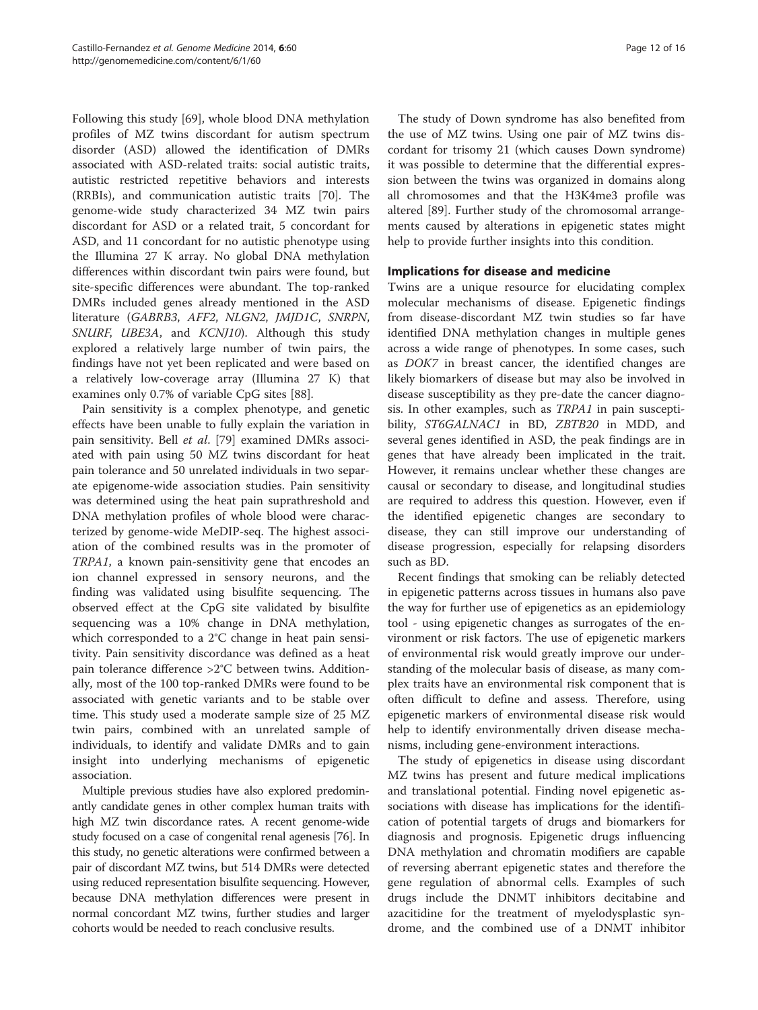Following this study [[69\]](#page-14-0), whole blood DNA methylation profiles of MZ twins discordant for autism spectrum disorder (ASD) allowed the identification of DMRs associated with ASD-related traits: social autistic traits, autistic restricted repetitive behaviors and interests (RRBIs), and communication autistic traits [\[70\]](#page-14-0). The genome-wide study characterized 34 MZ twin pairs discordant for ASD or a related trait, 5 concordant for ASD, and 11 concordant for no autistic phenotype using the Illumina 27 K array. No global DNA methylation differences within discordant twin pairs were found, but site-specific differences were abundant. The top-ranked DMRs included genes already mentioned in the ASD literature (GABRB3, AFF2, NLGN2, JMJD1C, SNRPN, SNURF, UBE3A, and KCNJ10). Although this study explored a relatively large number of twin pairs, the findings have not yet been replicated and were based on a relatively low-coverage array (Illumina 27 K) that examines only 0.7% of variable CpG sites [\[88](#page-15-0)].

Pain sensitivity is a complex phenotype, and genetic effects have been unable to fully explain the variation in pain sensitivity. Bell et al. [\[79](#page-14-0)] examined DMRs associated with pain using 50 MZ twins discordant for heat pain tolerance and 50 unrelated individuals in two separate epigenome-wide association studies. Pain sensitivity was determined using the heat pain suprathreshold and DNA methylation profiles of whole blood were characterized by genome-wide MeDIP-seq. The highest association of the combined results was in the promoter of TRPA1, a known pain-sensitivity gene that encodes an ion channel expressed in sensory neurons, and the finding was validated using bisulfite sequencing. The observed effect at the CpG site validated by bisulfite sequencing was a 10% change in DNA methylation, which corresponded to a 2°C change in heat pain sensitivity. Pain sensitivity discordance was defined as a heat pain tolerance difference >2°C between twins. Additionally, most of the 100 top-ranked DMRs were found to be associated with genetic variants and to be stable over time. This study used a moderate sample size of 25 MZ twin pairs, combined with an unrelated sample of individuals, to identify and validate DMRs and to gain insight into underlying mechanisms of epigenetic association.

Multiple previous studies have also explored predominantly candidate genes in other complex human traits with high MZ twin discordance rates. A recent genome-wide study focused on a case of congenital renal agenesis [\[76](#page-14-0)]. In this study, no genetic alterations were confirmed between a pair of discordant MZ twins, but 514 DMRs were detected using reduced representation bisulfite sequencing. However, because DNA methylation differences were present in normal concordant MZ twins, further studies and larger cohorts would be needed to reach conclusive results.

The study of Down syndrome has also benefited from the use of MZ twins. Using one pair of MZ twins discordant for trisomy 21 (which causes Down syndrome) it was possible to determine that the differential expression between the twins was organized in domains along all chromosomes and that the H3K4me3 profile was altered [\[89\]](#page-15-0). Further study of the chromosomal arrangements caused by alterations in epigenetic states might help to provide further insights into this condition.

## Implications for disease and medicine

Twins are a unique resource for elucidating complex molecular mechanisms of disease. Epigenetic findings from disease-discordant MZ twin studies so far have identified DNA methylation changes in multiple genes across a wide range of phenotypes. In some cases, such as DOK7 in breast cancer, the identified changes are likely biomarkers of disease but may also be involved in disease susceptibility as they pre-date the cancer diagnosis. In other examples, such as TRPA1 in pain susceptibility, ST6GALNAC1 in BD, ZBTB20 in MDD, and several genes identified in ASD, the peak findings are in genes that have already been implicated in the trait. However, it remains unclear whether these changes are causal or secondary to disease, and longitudinal studies are required to address this question. However, even if the identified epigenetic changes are secondary to disease, they can still improve our understanding of disease progression, especially for relapsing disorders such as BD.

Recent findings that smoking can be reliably detected in epigenetic patterns across tissues in humans also pave the way for further use of epigenetics as an epidemiology tool - using epigenetic changes as surrogates of the environment or risk factors. The use of epigenetic markers of environmental risk would greatly improve our understanding of the molecular basis of disease, as many complex traits have an environmental risk component that is often difficult to define and assess. Therefore, using epigenetic markers of environmental disease risk would help to identify environmentally driven disease mechanisms, including gene-environment interactions.

The study of epigenetics in disease using discordant MZ twins has present and future medical implications and translational potential. Finding novel epigenetic associations with disease has implications for the identification of potential targets of drugs and biomarkers for diagnosis and prognosis. Epigenetic drugs influencing DNA methylation and chromatin modifiers are capable of reversing aberrant epigenetic states and therefore the gene regulation of abnormal cells. Examples of such drugs include the DNMT inhibitors decitabine and azacitidine for the treatment of myelodysplastic syndrome, and the combined use of a DNMT inhibitor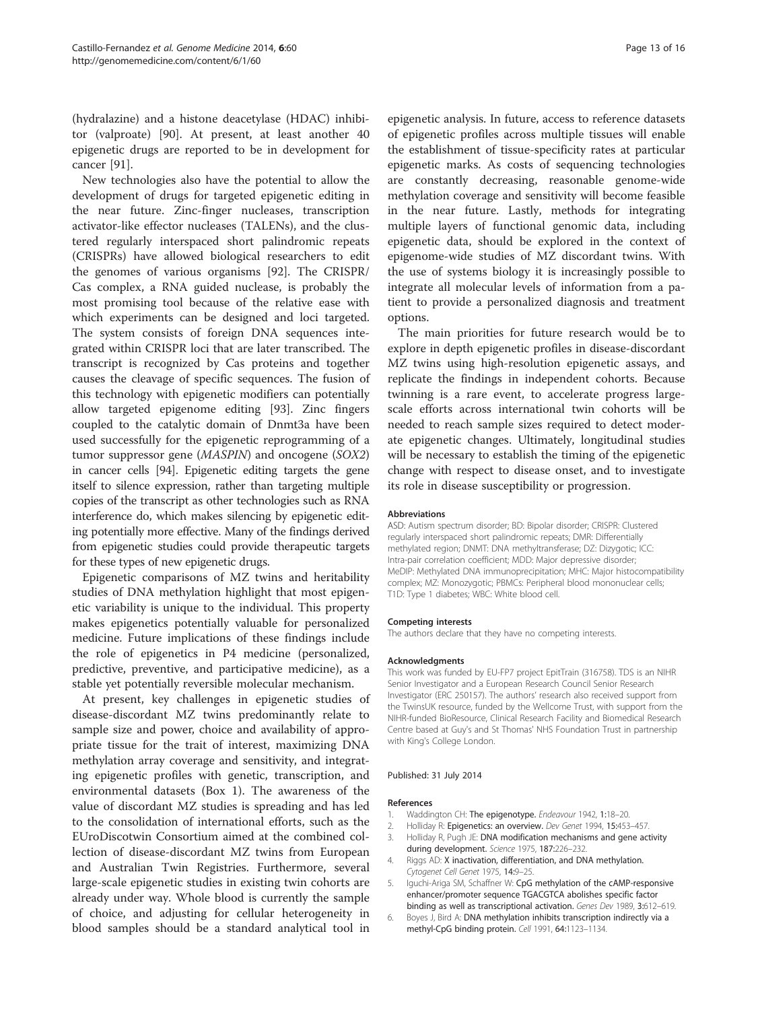<span id="page-12-0"></span>(hydralazine) and a histone deacetylase (HDAC) inhibitor (valproate) [\[90\]](#page-15-0). At present, at least another 40 epigenetic drugs are reported to be in development for cancer [[91](#page-15-0)].

New technologies also have the potential to allow the development of drugs for targeted epigenetic editing in the near future. Zinc-finger nucleases, transcription activator-like effector nucleases (TALENs), and the clustered regularly interspaced short palindromic repeats (CRISPRs) have allowed biological researchers to edit the genomes of various organisms [\[92\]](#page-15-0). The CRISPR/ Cas complex, a RNA guided nuclease, is probably the most promising tool because of the relative ease with which experiments can be designed and loci targeted. The system consists of foreign DNA sequences integrated within CRISPR loci that are later transcribed. The transcript is recognized by Cas proteins and together causes the cleavage of specific sequences. The fusion of this technology with epigenetic modifiers can potentially allow targeted epigenome editing [\[93](#page-15-0)]. Zinc fingers coupled to the catalytic domain of Dnmt3a have been used successfully for the epigenetic reprogramming of a tumor suppressor gene (MASPIN) and oncogene (SOX2) in cancer cells [\[94\]](#page-15-0). Epigenetic editing targets the gene itself to silence expression, rather than targeting multiple copies of the transcript as other technologies such as RNA interference do, which makes silencing by epigenetic editing potentially more effective. Many of the findings derived from epigenetic studies could provide therapeutic targets for these types of new epigenetic drugs.

Epigenetic comparisons of MZ twins and heritability studies of DNA methylation highlight that most epigenetic variability is unique to the individual. This property makes epigenetics potentially valuable for personalized medicine. Future implications of these findings include the role of epigenetics in P4 medicine (personalized, predictive, preventive, and participative medicine), as a stable yet potentially reversible molecular mechanism.

At present, key challenges in epigenetic studies of disease-discordant MZ twins predominantly relate to sample size and power, choice and availability of appropriate tissue for the trait of interest, maximizing DNA methylation array coverage and sensitivity, and integrating epigenetic profiles with genetic, transcription, and environmental datasets ([Box 1](#page-2-0)). The awareness of the value of discordant MZ studies is spreading and has led to the consolidation of international efforts, such as the EUroDiscotwin Consortium aimed at the combined collection of disease-discordant MZ twins from European and Australian Twin Registries. Furthermore, several large-scale epigenetic studies in existing twin cohorts are already under way. Whole blood is currently the sample of choice, and adjusting for cellular heterogeneity in blood samples should be a standard analytical tool in

epigenetic analysis. In future, access to reference datasets of epigenetic profiles across multiple tissues will enable the establishment of tissue-specificity rates at particular epigenetic marks. As costs of sequencing technologies are constantly decreasing, reasonable genome-wide methylation coverage and sensitivity will become feasible in the near future. Lastly, methods for integrating multiple layers of functional genomic data, including epigenetic data, should be explored in the context of epigenome-wide studies of MZ discordant twins. With the use of systems biology it is increasingly possible to integrate all molecular levels of information from a patient to provide a personalized diagnosis and treatment options.

The main priorities for future research would be to explore in depth epigenetic profiles in disease-discordant MZ twins using high-resolution epigenetic assays, and replicate the findings in independent cohorts. Because twinning is a rare event, to accelerate progress largescale efforts across international twin cohorts will be needed to reach sample sizes required to detect moderate epigenetic changes. Ultimately, longitudinal studies will be necessary to establish the timing of the epigenetic change with respect to disease onset, and to investigate its role in disease susceptibility or progression.

#### Abbreviations

ASD: Autism spectrum disorder; BD: Bipolar disorder; CRISPR: Clustered regularly interspaced short palindromic repeats; DMR: Differentially methylated region; DNMT: DNA methyltransferase; DZ: Dizygotic; ICC: Intra-pair correlation coefficient; MDD: Major depressive disorder; MeDIP: Methylated DNA immunoprecipitation; MHC: Major histocompatibility complex; MZ: Monozygotic; PBMCs: Peripheral blood mononuclear cells; T1D: Type 1 diabetes; WBC: White blood cell.

#### Competing interests

The authors declare that they have no competing interests.

#### Acknowledgments

This work was funded by EU-FP7 project EpitTrain (316758). TDS is an NIHR Senior Investigator and a European Research Council Senior Research Investigator (ERC 250157). The authors' research also received support from the TwinsUK resource, funded by the Wellcome Trust, with support from the NIHR-funded BioResource, Clinical Research Facility and Biomedical Research Centre based at Guy's and St Thomas' NHS Foundation Trust in partnership with King's College London.

#### Published: 31 July 2014

#### References

- 1. Waddington CH: The epigenotype. Endeavour 1942, 1:18-20.
- 2. Holliday R: Epigenetics: an overview. Dev Genet 1994, 15:453-457. 3. Holliday R, Pugh JE: DNA modification mechanisms and gene activity during development. Science 1975, 187:226–232.
- 4. Riggs AD: X inactivation, differentiation, and DNA methylation. Cytogenet Cell Genet 1975, 14:9–25.
- 5. Iguchi-Ariga SM, Schaffner W: CpG methylation of the cAMP-responsive enhancer/promoter sequence TGACGTCA abolishes specific factor binding as well as transcriptional activation. Genes Dev 1989, 3:612–619.
- 6. Boyes J, Bird A: DNA methylation inhibits transcription indirectly via a methyl-CpG binding protein. Cell 1991, 64:1123–1134.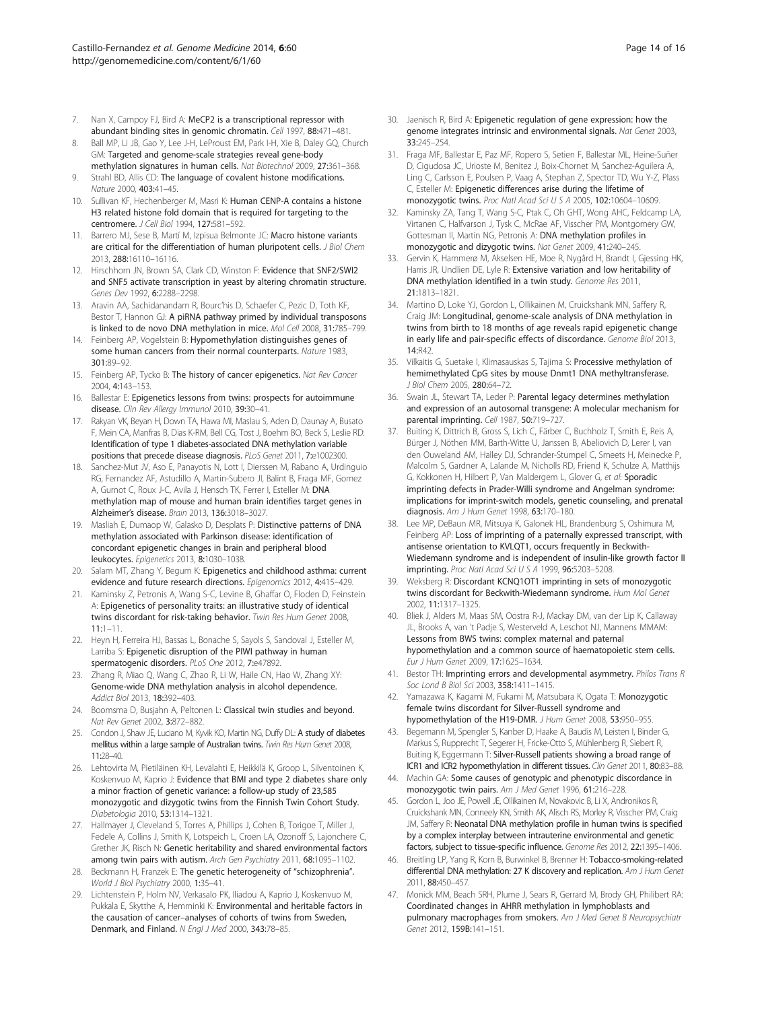- <span id="page-13-0"></span>7. Nan X, Campoy FJ, Bird A: MeCP2 is a transcriptional repressor with abundant binding sites in genomic chromatin. Cell 1997, 88:471–481.
- 8. Ball MP, Li JB, Gao Y, Lee J-H, LeProust EM, Park I-H, Xie B, Daley GQ, Church GM: Targeted and genome-scale strategies reveal gene-body methylation signatures in human cells. Nat Biotechnol 2009, 27:361–368.
- 9. Strahl BD, Allis CD: The language of covalent histone modifications. Nature 2000, 403:41–45.
- 10. Sullivan KF, Hechenberger M, Masri K: Human CENP-A contains a histone H3 related histone fold domain that is required for targeting to the centromere. J Cell Biol 1994, 127:581–592.
- 11. Barrero MJ, Sese B, Martí M, Izpisua Belmonte JC: Macro histone variants are critical for the differentiation of human pluripotent cells. J Biol Chem 2013, 288:16110–16116.
- 12. Hirschhorn JN, Brown SA, Clark CD, Winston F: Evidence that SNF2/SWI2 and SNF5 activate transcription in yeast by altering chromatin structure. Genes Dev 1992, 6:2288–2298.
- 13. Aravin AA, Sachidanandam R, Bourc'his D, Schaefer C, Pezic D, Toth KF, Bestor T, Hannon GJ: A piRNA pathway primed by individual transposons is linked to de novo DNA methylation in mice. Mol Cell 2008, 31:785–799.
- 14. Feinberg AP, Vogelstein B: Hypomethylation distinguishes genes of some human cancers from their normal counterparts. Nature 1983, 301:89–92.
- 15. Feinberg AP, Tycko B: The history of cancer epigenetics. Nat Rev Cancer 2004, 4:143–153.
- 16. Ballestar E: Epigenetics lessons from twins: prospects for autoimmune disease. Clin Rev Allergy Immunol 2010, 39:30-41.
- 17. Rakyan VK, Beyan H, Down TA, Hawa MI, Maslau S, Aden D, Daunay A, Busato F, Mein CA, Manfras B, Dias K-RM, Bell CG, Tost J, Boehm BO, Beck S, Leslie RD: Identification of type 1 diabetes-associated DNA methylation variable positions that precede disease diagnosis. PLoS Genet 2011, 7:e1002300.
- 18. Sanchez-Mut JV, Aso E, Panayotis N, Lott I, Dierssen M, Rabano A, Urdinguio RG, Fernandez AF, Astudillo A, Martin-Subero JI, Balint B, Fraga MF, Gomez A, Gurnot C, Roux J-C, Avila J, Hensch TK, Ferrer I, Esteller M: DNA methylation map of mouse and human brain identifies target genes in Alzheimer's disease. Brain 2013, 136:3018–3027.
- 19. Masliah E, Dumaop W, Galasko D, Desplats P: Distinctive patterns of DNA methylation associated with Parkinson disease: identification of concordant epigenetic changes in brain and peripheral blood leukocytes. Epigenetics 2013, 8:1030–1038.
- 20. Salam MT, Zhang Y, Begum K: Epigenetics and childhood asthma: current evidence and future research directions. Epigenomics 2012, 4:415–429.
- 21. Kaminsky Z, Petronis A, Wang S-C, Levine B, Ghaffar O, Floden D, Feinstein A: Epigenetics of personality traits: an illustrative study of identical twins discordant for risk-taking behavior. Twin Res Hum Genet 2008, 11:1–11.
- 22. Heyn H, Ferreira HJ, Bassas L, Bonache S, Sayols S, Sandoval J, Esteller M, Larriba S: Epigenetic disruption of the PIWI pathway in human spermatogenic disorders. PLoS One 2012, 7:e47892.
- 23. Zhang R, Miao Q, Wang C, Zhao R, Li W, Haile CN, Hao W, Zhang XY: Genome-wide DNA methylation analysis in alcohol dependence. Addict Biol 2013, 18:392–403.
- 24. Boomsma D, Busjahn A, Peltonen L: Classical twin studies and beyond. Nat Rev Genet 2002, 3:872–882.
- 25. Condon J, Shaw JE, Luciano M, Kyvik KO, Martin NG, Duffy DL: A study of diabetes mellitus within a large sample of Australian twins. Twin Res Hum Genet 2008, 11:28–40.
- 26. Lehtovirta M, Pietiläinen KH, Levälahti E, Heikkilä K, Groop L, Silventoinen K, Koskenvuo M, Kaprio J: Evidence that BMI and type 2 diabetes share only a minor fraction of genetic variance: a follow-up study of 23,585 monozygotic and dizygotic twins from the Finnish Twin Cohort Study. Diabetologia 2010, 53:1314–1321.
- 27. Hallmayer J, Cleveland S, Torres A, Phillips J, Cohen B, Torigoe T, Miller J, Fedele A, Collins J, Smith K, Lotspeich L, Croen LA, Ozonoff S, Lajonchere C, Grether JK, Risch N: Genetic heritability and shared environmental factors among twin pairs with autism. Arch Gen Psychiatry 2011, 68:1095-1102.
- 28. Beckmann H, Franzek E: The genetic heterogeneity of "schizophrenia". World J Biol Psychiatry 2000, 1:35–41.
- 29. Lichtenstein P, Holm NV, Verkasalo PK, Iliadou A, Kaprio J, Koskenvuo M, Pukkala E, Skytthe A, Hemminki K: Environmental and heritable factors in the causation of cancer–analyses of cohorts of twins from Sweden, Denmark, and Finland. N Engl J Med 2000, 343:78–85.
- 30. Jaenisch R, Bird A: Epigenetic regulation of gene expression: how the genome integrates intrinsic and environmental signals. Nat Genet 2003, 33:245–254.
- 31. Fraga MF, Ballestar E, Paz MF, Ropero S, Setien F, Ballestar ML, Heine-Suñer D, Cigudosa JC, Urioste M, Benitez J, Boix-Chornet M, Sanchez-Aguilera A, Ling C, Carlsson E, Poulsen P, Vaag A, Stephan Z, Spector TD, Wu Y-Z, Plass C, Esteller M: Epigenetic differences arise during the lifetime of monozygotic twins. Proc Natl Acad Sci U S A 2005, 102:10604–10609.
- 32. Kaminsky ZA, Tang T, Wang S-C, Ptak C, Oh GHT, Wong AHC, Feldcamp LA, Virtanen C, Halfvarson J, Tysk C, McRae AF, Visscher PM, Montgomery GW, Gottesman II, Martin NG, Petronis A: DNA methylation profiles in monozygotic and dizygotic twins. Nat Genet 2009, 41:240–245.
- 33. Gervin K, Hammerø M, Akselsen HE, Moe R, Nygård H, Brandt I, Gjessing HK, Harris JR, Undlien DE, Lyle R: Extensive variation and low heritability of DNA methylation identified in a twin study. Genome Res 2011, 21:1813–1821.
- 34. Martino D, Loke YJ, Gordon L, Ollikainen M, Cruickshank MN, Saffery R, Craig JM: Longitudinal, genome-scale analysis of DNA methylation in twins from birth to 18 months of age reveals rapid epigenetic change in early life and pair-specific effects of discordance. Genome Biol 2013, 14:R42.
- 35. Vilkaitis G, Suetake I, Klimasauskas S, Tajima S: Processive methylation of hemimethylated CpG sites by mouse Dnmt1 DNA methyltransferase. J Biol Chem 2005, 280:64–72.
- 36. Swain JL, Stewart TA, Leder P: Parental legacy determines methylation and expression of an autosomal transgene: A molecular mechanism for parental imprinting. Cell 1987, 50:719-727.
- 37. Buiting K, Dittrich B, Gross S, Lich C, Färber C, Buchholz T, Smith E, Reis A, Bürger J, Nöthen MM, Barth-Witte U, Janssen B, Abeliovich D, Lerer I, van den Ouweland AM, Halley DJ, Schrander-Stumpel C, Smeets H, Meinecke P, Malcolm S, Gardner A, Lalande M, Nicholls RD, Friend K, Schulze A, Matthijs G, Kokkonen H, Hilbert P, Van Maldergem L, Glover G, et al: Sporadic imprinting defects in Prader-Willi syndrome and Angelman syndrome: implications for imprint-switch models, genetic counseling, and prenatal diagnosis. Am J Hum Genet 1998, 63:170–180.
- 38. Lee MP, DeBaun MR, Mitsuya K, Galonek HL, Brandenburg S, Oshimura M, Feinberg AP: Loss of imprinting of a paternally expressed transcript, with antisense orientation to KVLQT1, occurs frequently in Beckwith-Wiedemann syndrome and is independent of insulin-like growth factor II imprinting. Proc Natl Acad Sci U S A 1999, 96:5203–5208.
- 39. Weksberg R: Discordant KCNQ1OT1 imprinting in sets of monozygotic twins discordant for Beckwith-Wiedemann syndrome. Hum Mol Genet 2002, 11:1317–1325.
- 40. Bliek J, Alders M, Maas SM, Oostra R-J, Mackay DM, van der Lip K, Callaway JL, Brooks A, van 't Padje S, Westerveld A, Leschot NJ, Mannens MMAM: Lessons from BWS twins: complex maternal and paternal hypomethylation and a common source of haematopoietic stem cells. Eur J Hum Genet 2009, 17:1625–1634.
- 41. Bestor TH: Imprinting errors and developmental asymmetry. Philos Trans R Soc Lond B Biol Sci 2003, 358:1411-1415
- 42. Yamazawa K, Kagami M, Fukami M, Matsubara K, Ogata T: Monozygotic female twins discordant for Silver-Russell syndrome and hypomethylation of the H19-DMR. J Hum Genet 2008, 53:950-955.
- 43. Begemann M, Spengler S, Kanber D, Haake A, Baudis M, Leisten I, Binder G, Markus S, Rupprecht T, Segerer H, Fricke-Otto S, Mühlenberg R, Siebert R, Buiting K, Eggermann T: Silver-Russell patients showing a broad range of ICR1 and ICR2 hypomethylation in different tissues. Clin Genet 2011, 80:83-88.
- 44. Machin GA: Some causes of genotypic and phenotypic discordance in monozygotic twin pairs. Am J Med Genet 1996, 61:216–228.
- 45. Gordon L, Joo JE, Powell JE, Ollikainen M, Novakovic B, Li X, Andronikos R, Cruickshank MN, Conneely KN, Smith AK, Alisch RS, Morley R, Visscher PM, Craig JM, Saffery R: Neonatal DNA methylation profile in human twins is specified by a complex interplay between intrauterine environmental and genetic factors, subject to tissue-specific influence. Genome Res 2012, 22:1395–1406.
- 46. Breitling LP, Yang R, Korn B, Burwinkel B, Brenner H: Tobacco-smoking-related differential DNA methylation: 27 K discovery and replication. Am J Hum Genet 2011, 88:450–457.
- 47. Monick MM, Beach SRH, Plume J, Sears R, Gerrard M, Brody GH, Philibert RA: Coordinated changes in AHRR methylation in lymphoblasts and pulmonary macrophages from smokers. Am J Med Genet B Neuropsychiatr Genet 2012, 159B:141–151.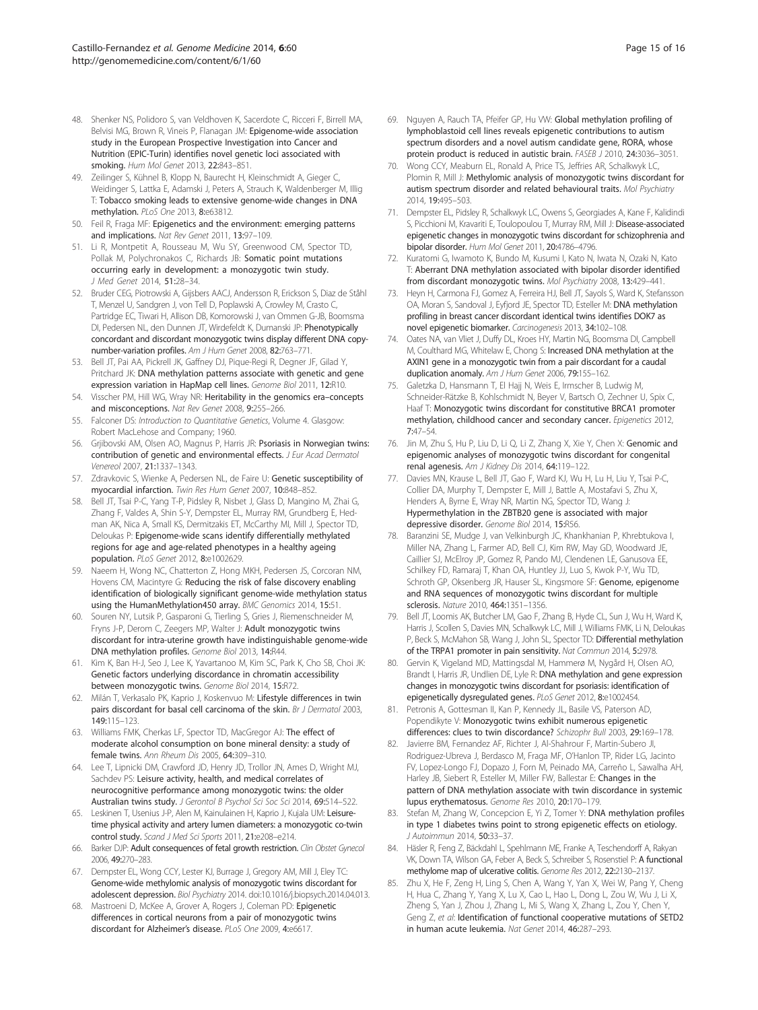- <span id="page-14-0"></span>48. Shenker NS, Polidoro S, van Veldhoven K, Sacerdote C, Ricceri F, Birrell MA, Belvisi MG, Brown R, Vineis P, Flanagan JM: Epigenome-wide association study in the European Prospective Investigation into Cancer and Nutrition (EPIC-Turin) identifies novel genetic loci associated with smoking. Hum Mol Genet 2013, 22:843–851.
- 49. Zeilinger S, Kühnel B, Klopp N, Baurecht H, Kleinschmidt A, Gieger C, Weidinger S, Lattka E, Adamski J, Peters A, Strauch K, Waldenberger M, Illig T: Tobacco smoking leads to extensive genome-wide changes in DNA methylation. PLoS One 2013, 8:e63812.
- 50. Feil R, Fraga MF: Epigenetics and the environment: emerging patterns and implications. Nat Rev Genet 2011, 13:97-109.
- 51. Li R, Montpetit A, Rousseau M, Wu SY, Greenwood CM, Spector TD, Pollak M, Polychronakos C, Richards JB: Somatic point mutations occurring early in development: a monozygotic twin study. J Med Genet 2014, 51:28–34.
- 52. Bruder CEG, Piotrowski A, Gijsbers AACJ, Andersson R, Erickson S, Diaz de Ståhl T, Menzel U, Sandgren J, von Tell D, Poplawski A, Crowley M, Crasto C, Partridge EC, Tiwari H, Allison DB, Komorowski J, van Ommen G-JB, Boomsma DI, Pedersen NL, den Dunnen JT, Wirdefeldt K, Dumanski JP: Phenotypically concordant and discordant monozygotic twins display different DNA copynumber-variation profiles. Am J Hum Genet 2008, 82:763–771.
- 53. Bell JT, Pai AA, Pickrell JK, Gaffney DJ, Pique-Regi R, Degner JF, Gilad Y, Pritchard JK: DNA methylation patterns associate with genetic and gene expression variation in HapMap cell lines. Genome Biol 2011, 12:R10.
- 54. Visscher PM, Hill WG, Wray NR: Heritability in the genomics era–concepts and misconceptions. Nat Rev Genet 2008, 9:255–266.
- 55. Falconer DS: Introduction to Quantitative Genetics, Volume 4. Glasgow: Robert MacLehose and Company; 1960.
- 56. Grjibovski AM, Olsen AO, Magnus P, Harris JR: Psoriasis in Norwegian twins: contribution of genetic and environmental effects. J Eur Acad Dermatol Venereol 2007, 21:1337–1343.
- 57. Zdravkovic S, Wienke A, Pedersen NL, de Faire U: Genetic susceptibility of myocardial infarction. Twin Res Hum Genet 2007, 10:848–852.
- 58. Bell JT, Tsai P-C, Yang T-P, Pidsley R, Nisbet J, Glass D, Mangino M, Zhai G, Zhang F, Valdes A, Shin S-Y, Dempster EL, Murray RM, Grundberg E, Hedman AK, Nica A, Small KS, Dermitzakis ET, McCarthy MI, Mill J, Spector TD, Deloukas P: Epigenome-wide scans identify differentially methylated regions for age and age-related phenotypes in a healthy ageing population. PLoS Genet 2012, 8:e1002629
- 59. Naeem H, Wong NC, Chatterton Z, Hong MKH, Pedersen JS, Corcoran NM, Hovens CM, Macintyre G: Reducing the risk of false discovery enabling identification of biologically significant genome-wide methylation status using the HumanMethylation450 array. BMC Genomics 2014, 15:51.
- 60. Souren NY, Lutsik P, Gasparoni G, Tierling S, Gries J, Riemenschneider M, Fryns J-P, Derom C, Zeegers MP, Walter J: Adult monozygotic twins discordant for intra-uterine growth have indistinguishable genome-wide DNA methylation profiles. Genome Biol 2013, 14:R44.
- 61. Kim K, Ban H-J, Seo J, Lee K, Yavartanoo M, Kim SC, Park K, Cho SB, Choi JK: Genetic factors underlying discordance in chromatin accessibility between monozygotic twins. Genome Biol 2014, 15:R72.
- 62. Milán T, Verkasalo PK, Kaprio J, Koskenvuo M: Lifestyle differences in twin pairs discordant for basal cell carcinoma of the skin. Br J Dermatol 2003, 149:115–123.
- 63. Williams FMK, Cherkas LF, Spector TD, MacGregor AJ: The effect of moderate alcohol consumption on bone mineral density: a study of female twins. Ann Rheum Dis 2005, 64:309–310.
- 64. Lee T, Lipnicki DM, Crawford JD, Henry JD, Trollor JN, Ames D, Wright MJ, Sachdev PS: Leisure activity, health, and medical correlates of neurocognitive performance among monozygotic twins: the older Australian twins study. J Gerontol B Psychol Sci Soc Sci 2014, 69:514–522.
- 65. Leskinen T, Usenius J-P, Alen M, Kainulainen H, Kaprio J, Kujala UM: Leisuretime physical activity and artery lumen diameters: a monozygotic co-twin control study. Scand J Med Sci Sports 2011, 21:e208–e214.
- 66. Barker DJP: Adult consequences of fetal growth restriction. Clin Obstet Gynecol 2006, 49:270–283.
- 67. Dempster EL, Wong CCY, Lester KJ, Burrage J, Gregory AM, Mill J, Eley TC: Genome-wide methylomic analysis of monozygotic twins discordant for adolescent depression. Biol Psychiatry 2014. doi:10.1016/j.biopsych.2014.04.013.
- 68. Mastroeni D, McKee A, Grover A, Rogers J, Coleman PD: Epigenetic differences in cortical neurons from a pair of monozygotic twins discordant for Alzheimer's disease. PLoS One 2009, 4:e6617.
- 69. Nguyen A, Rauch TA, Pfeifer GP, Hu VW: Global methylation profiling of lymphoblastoid cell lines reveals epigenetic contributions to autism spectrum disorders and a novel autism candidate gene, RORA, whose protein product is reduced in autistic brain. FASEB J 2010, 24:3036–3051.
- 70. Wong CCY, Meaburn EL, Ronald A, Price TS, Jeffries AR, Schalkwyk LC, Plomin R, Mill J: Methylomic analysis of monozygotic twins discordant for autism spectrum disorder and related behavioural traits. Mol Psychiatry 2014, 19:495–503.
- 71. Dempster EL, Pidsley R, Schalkwyk LC, Owens S, Georgiades A, Kane F, Kalidindi S, Picchioni M, Kravariti E, Toulopoulou T, Murray RM, Mill J: Disease-associated epigenetic changes in monozygotic twins discordant for schizophrenia and bipolar disorder. Hum Mol Genet 2011, 20:4786–4796.
- 72. Kuratomi G, Iwamoto K, Bundo M, Kusumi I, Kato N, Iwata N, Ozaki N, Kato T: Aberrant DNA methylation associated with bipolar disorder identified from discordant monozyqotic twins. Mol Psychiatry 2008, 13:429-441
- 73. Heyn H, Carmona FJ, Gomez A, Ferreira HJ, Bell JT, Sayols S, Ward K, Stefansson OA, Moran S, Sandoval J, Eyfjord JE, Spector TD, Esteller M: DNA methylation profiling in breast cancer discordant identical twins identifies DOK7 as novel epigenetic biomarker. Carcinogenesis 2013, 34:102–108.
- 74. Oates NA, van Vliet J, Duffy DL, Kroes HY, Martin NG, Boomsma DI, Campbell M, Coulthard MG, Whitelaw E, Chong S: Increased DNA methylation at the AXIN1 gene in a monozygotic twin from a pair discordant for a caudal duplication anomaly. Am J Hum Genet 2006, 79:155-162.
- 75. Galetzka D, Hansmann T, El Hajj N, Weis E, Irmscher B, Ludwig M, Schneider-Rätzke B, Kohlschmidt N, Beyer V, Bartsch O, Zechner U, Spix C, Haaf T: Monozygotic twins discordant for constitutive BRCA1 promoter methylation, childhood cancer and secondary cancer. Epigenetics 2012, 7:47–54.
- 76. Jin M, Zhu S, Hu P, Liu D, Li Q, Li Z, Zhang X, Xie Y, Chen X: Genomic and epigenomic analyses of monozygotic twins discordant for congenital renal agenesis. Am J Kidney Dis 2014, 64:119–122.
- 77. Davies MN, Krause L, Bell JT, Gao F, Ward KJ, Wu H, Lu H, Liu Y, Tsai P-C, Collier DA, Murphy T, Dempster E, Mill J, Battle A, Mostafavi S, Zhu X, Henders A, Byrne E, Wray NR, Martin NG, Spector TD, Wang J: Hypermethylation in the ZBTB20 gene is associated with major depressive disorder. Genome Biol 2014, 15:R56.
- 78. Baranzini SE, Mudge J, van Velkinburgh JC, Khankhanian P, Khrebtukova I, Miller NA, Zhang L, Farmer AD, Bell CJ, Kim RW, May GD, Woodward JE, Caillier SJ, McElroy JP, Gomez R, Pando MJ, Clendenen LE, Ganusova EE, Schilkey FD, Ramaraj T, Khan OA, Huntley JJ, Luo S, Kwok P-Y, Wu TD, Schroth GP, Oksenberg JR, Hauser SL, Kingsmore SF: Genome, epigenome and RNA sequences of monozygotic twins discordant for multiple sclerosis. Nature 2010, 464:1351-1356.
- 79. Bell JT, Loomis AK, Butcher LM, Gao F, Zhang B, Hyde CL, Sun J, Wu H, Ward K, Harris J, Scollen S, Davies MN, Schalkwyk LC, Mill J, Williams FMK, Li N, Deloukas P, Beck S, McMahon SB, Wang J, John SL, Spector TD: Differential methylation of the TRPA1 promoter in pain sensitivity. Nat Commun 2014, 5:2978.
- 80. Gervin K, Vigeland MD, Mattingsdal M, Hammerø M, Nygård H, Olsen AO, Brandt I, Harris JR, Undlien DE, Lyle R: DNA methylation and gene expression changes in monozygotic twins discordant for psoriasis: identification of epigenetically dysregulated genes. PLoS Genet 2012, 8:e1002454.
- 81. Petronis A, Gottesman II, Kan P, Kennedy JL, Basile VS, Paterson AD, Popendikyte V: Monozygotic twins exhibit numerous epigenetic differences: clues to twin discordance? Schizophr Bull 2003, 29:169–178.
- 82. Javierre BM, Fernandez AF, Richter J, Al-Shahrour F, Martin-Subero JI, Rodriguez-Ubreva J, Berdasco M, Fraga MF, O'Hanlon TP, Rider LG, Jacinto FV, Lopez-Longo FJ, Dopazo J, Forn M, Peinado MA, Carreño L, Sawalha AH, Harley JB, Siebert R, Esteller M, Miller FW, Ballestar E: Changes in the pattern of DNA methylation associate with twin discordance in systemic lupus erythematosus. Genome Res 2010, 20:170–179.
- 83. Stefan M, Zhang W, Concepcion E, Yi Z, Tomer Y: DNA methylation profiles in type 1 diabetes twins point to strong epigenetic effects on etiology. J Autoimmun 2014, 50:33–37.
- 84. Häsler R, Feng Z, Bäckdahl L, Spehlmann ME, Franke A, Teschendorff A, Rakyan VK, Down TA, Wilson GA, Feber A, Beck S, Schreiber S, Rosenstiel P: A functional methylome map of ulcerative colitis. Genome Res 2012, 22:2130–2137.
- 85. Zhu X, He F, Zeng H, Ling S, Chen A, Wang Y, Yan X, Wei W, Pang Y, Cheng H, Hua C, Zhang Y, Yang X, Lu X, Cao L, Hao L, Dong L, Zou W, Wu J, Li X, Zheng S, Yan J, Zhou J, Zhang L, Mi S, Wang X, Zhang L, Zou Y, Chen Y, Geng Z, et al: Identification of functional cooperative mutations of SETD2 in human acute leukemia. Nat Genet 2014, 46:287–293.